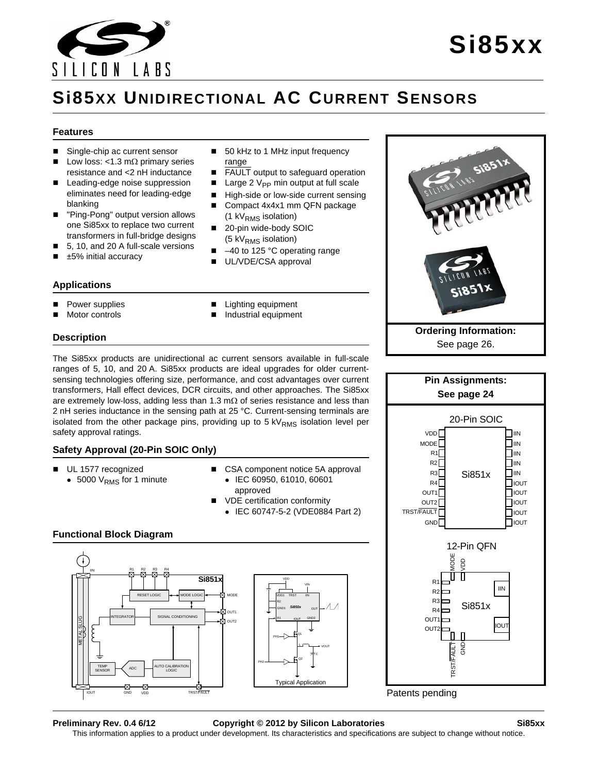

# **Si85XX UNIDIRECTIONAL AC CURRENT SENSORS**

range

■ 50 kHz to 1 MHz input frequency

 FAULT output to safeguard operation Large 2  $V_{PP}$  min output at full scale ■ High-side or low-side current sensing ■ Compact 4x4x1 mm QFN package

#### **Features**

- Single-chip ac current sensor
- Low loss: <1.3 m $\Omega$  primary series resistance and <2 nH inductance
- Leading-edge noise suppression eliminates need for leading-edge blanking
- "Ping-Pong" output version allows one Si85xx to replace two current transformers in full-bridge designs
- 5, 10, and 20 A full-scale versions
- ±5% initial accuracy

#### **Applications**

- Power supplies
- Motor controls

■ Lighting equipment

 $(1 \text{ kV}_{RMS}$  isolation) ■ 20-pin wide-body SOIC  $(5 \text{ kV}_{RMS})$  isolation) ■  $-40$  to 125 °C operating range UL/VDE/CSA approval

Industrial equipment

#### **Description**

The Si85xx products are unidirectional ac current sensors available in full-scale ranges of 5, 10, and 20 A. Si85xx products are ideal upgrades for older currentsensing technologies offering size, performance, and cost advantages over current transformers, Hall effect devices, DCR circuits, and other approaches. The Si85xx are extremely low-loss, adding less than  $1.3 \text{ m}\Omega$  of series resistance and less than 2 nH series inductance in the sensing path at 25 °C. Current-sensing terminals are isolated from the other package pins, providing up to  $5 \text{ kV}_{RMS}$  isolation level per safety approval ratings.

#### **Safety Approval (20-Pin SOIC Only)**

- UL 1577 recognized
	- $\bullet$  5000 V<sub>RMS</sub> for 1 minute
- CSA component notice 5A approval IEC 60950, 61010, 60601 approved
- VDE certification conformity
- IEC 60747-5-2 (VDE0884 Part 2)

#### **Functional Block Diagram**





#### **Preliminary Rev. 0.4 6/12 Copyright © 2012 by Silicon Laboratories Si85xx**

VOUT

This information applies to a product under development. Its characteristics and specifications are subject to change without notice.

**Ordering Information:** See [page 26.](#page-25-0)

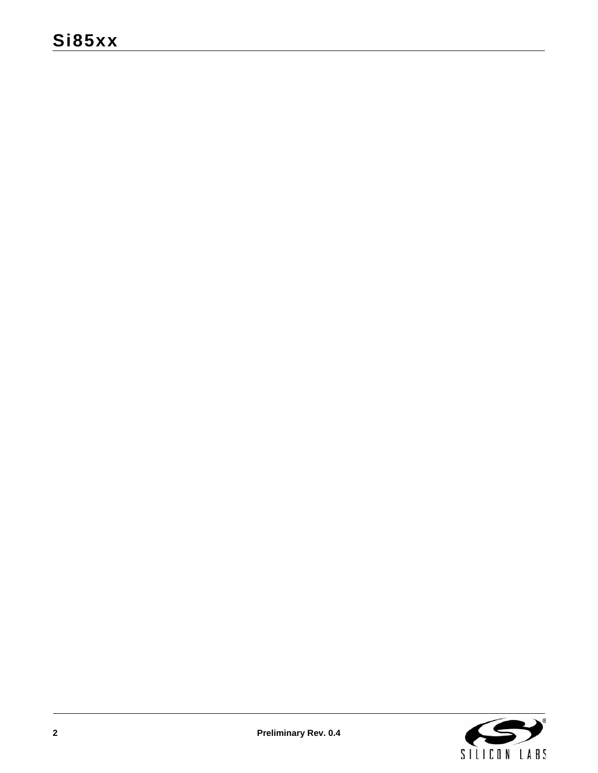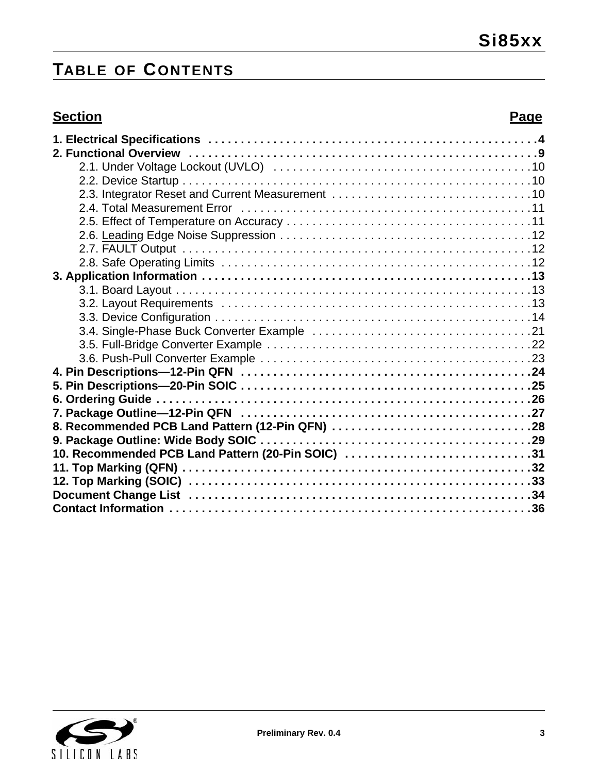# **TABLE OF CONTENTS**

# **Section Page**

| 8. Recommended PCB Land Pattern (12-Pin QFN) 28   |  |
|---------------------------------------------------|--|
|                                                   |  |
| 10. Recommended PCB Land Pattern (20-Pin SOIC) 31 |  |
|                                                   |  |
|                                                   |  |
|                                                   |  |
|                                                   |  |

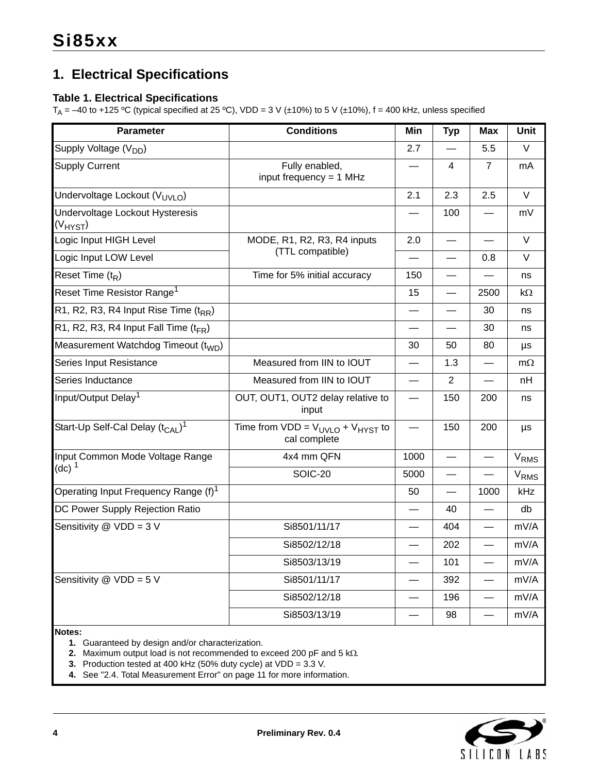# <span id="page-3-0"></span>**1. Electrical Specifications**

### <span id="page-3-5"></span>**Table 1. Electrical Specifications**

 $T_A = -40$  to +125 °C (typical specified at 25 °C), VDD = 3 V (±10%) to 5 V (±10%), f = 400 kHz, unless specified

| $\vee$<br>5.5<br>2.7<br>Fully enabled,<br>$\overline{7}$<br>4<br>mA<br>input frequency $= 1$ MHz<br>$\vee$<br>2.1<br>2.3<br>2.5<br>Undervoltage Lockout Hysteresis<br>100<br>mV<br>Logic Input HIGH Level<br>MODE, R1, R2, R3, R4 inputs<br>$\vee$<br>2.0<br>(TTL compatible)<br>V<br>Logic Input LOW Level<br>0.8<br>Time for 5% initial accuracy<br>150<br>ns<br>15<br>2500<br>$k\Omega$<br>30<br>ns<br>30<br>ns<br>80<br>30<br>50<br>μs<br>Measured from IIN to IOUT<br>1.3<br>$m\Omega$<br>Measured from IIN to IOUT<br>Series Inductance<br>2<br>nH<br>$\overline{\phantom{0}}$<br>OUT, OUT1, OUT2 delay relative to<br>150<br>200<br>ns<br>input<br>Time from $VDD = V_{UVLO} + V_{H YST}$ to<br>200<br>150<br>$\mu s$<br>cal complete<br>4x4 mm QFN<br>1000<br>$V_{RMS}$<br>$\overline{\phantom{0}}$<br>$(\overline{\text{dc}})^1$<br>SOIC-20<br>5000<br>$V_{RMS}$<br>kHz<br>50<br>1000<br>$\overline{\phantom{0}}$<br>40<br>db<br>Si8501/11/17<br>mV/A<br>404<br>Si8502/12/18<br>mV/A<br>202<br>Si8503/13/19<br>mV/A<br>101<br>Si8501/11/17<br>392<br>mV/A<br>Si8502/12/18<br>196<br>mV/A<br>Si8503/13/19<br>mV/A<br>98 | Parameter                                         | <b>Conditions</b> | Min | <b>Typ</b> | <b>Max</b> | Unit |
|---------------------------------------------------------------------------------------------------------------------------------------------------------------------------------------------------------------------------------------------------------------------------------------------------------------------------------------------------------------------------------------------------------------------------------------------------------------------------------------------------------------------------------------------------------------------------------------------------------------------------------------------------------------------------------------------------------------------------------------------------------------------------------------------------------------------------------------------------------------------------------------------------------------------------------------------------------------------------------------------------------------------------------------------------------------------------------------------------------------------------------|---------------------------------------------------|-------------------|-----|------------|------------|------|
|                                                                                                                                                                                                                                                                                                                                                                                                                                                                                                                                                                                                                                                                                                                                                                                                                                                                                                                                                                                                                                                                                                                                 | Supply Voltage (V <sub>DD</sub> )                 |                   |     |            |            |      |
|                                                                                                                                                                                                                                                                                                                                                                                                                                                                                                                                                                                                                                                                                                                                                                                                                                                                                                                                                                                                                                                                                                                                 | <b>Supply Current</b>                             |                   |     |            |            |      |
|                                                                                                                                                                                                                                                                                                                                                                                                                                                                                                                                                                                                                                                                                                                                                                                                                                                                                                                                                                                                                                                                                                                                 | Undervoltage Lockout $(V_{UVLO})$                 |                   |     |            |            |      |
|                                                                                                                                                                                                                                                                                                                                                                                                                                                                                                                                                                                                                                                                                                                                                                                                                                                                                                                                                                                                                                                                                                                                 | $(V_{HYST})$                                      |                   |     |            |            |      |
|                                                                                                                                                                                                                                                                                                                                                                                                                                                                                                                                                                                                                                                                                                                                                                                                                                                                                                                                                                                                                                                                                                                                 |                                                   |                   |     |            |            |      |
|                                                                                                                                                                                                                                                                                                                                                                                                                                                                                                                                                                                                                                                                                                                                                                                                                                                                                                                                                                                                                                                                                                                                 |                                                   |                   |     |            |            |      |
|                                                                                                                                                                                                                                                                                                                                                                                                                                                                                                                                                                                                                                                                                                                                                                                                                                                                                                                                                                                                                                                                                                                                 | Reset Time $(t_R)$                                |                   |     |            |            |      |
|                                                                                                                                                                                                                                                                                                                                                                                                                                                                                                                                                                                                                                                                                                                                                                                                                                                                                                                                                                                                                                                                                                                                 | Reset Time Resistor Range <sup>1</sup>            |                   |     |            |            |      |
|                                                                                                                                                                                                                                                                                                                                                                                                                                                                                                                                                                                                                                                                                                                                                                                                                                                                                                                                                                                                                                                                                                                                 | R1, R2, R3, R4 Input Rise Time (t <sub>RR</sub> ) |                   |     |            |            |      |
|                                                                                                                                                                                                                                                                                                                                                                                                                                                                                                                                                                                                                                                                                                                                                                                                                                                                                                                                                                                                                                                                                                                                 | R1, R2, R3, R4 Input Fall Time $(t_{FR})$         |                   |     |            |            |      |
|                                                                                                                                                                                                                                                                                                                                                                                                                                                                                                                                                                                                                                                                                                                                                                                                                                                                                                                                                                                                                                                                                                                                 | Measurement Watchdog Timeout (t <sub>WD</sub> )   |                   |     |            |            |      |
|                                                                                                                                                                                                                                                                                                                                                                                                                                                                                                                                                                                                                                                                                                                                                                                                                                                                                                                                                                                                                                                                                                                                 | Series Input Resistance                           |                   |     |            |            |      |
|                                                                                                                                                                                                                                                                                                                                                                                                                                                                                                                                                                                                                                                                                                                                                                                                                                                                                                                                                                                                                                                                                                                                 |                                                   |                   |     |            |            |      |
|                                                                                                                                                                                                                                                                                                                                                                                                                                                                                                                                                                                                                                                                                                                                                                                                                                                                                                                                                                                                                                                                                                                                 | Input/Output Delay <sup>1</sup>                   |                   |     |            |            |      |
|                                                                                                                                                                                                                                                                                                                                                                                                                                                                                                                                                                                                                                                                                                                                                                                                                                                                                                                                                                                                                                                                                                                                 | Start-Up Self-Cal Delay $(tCAI)1$                 |                   |     |            |            |      |
|                                                                                                                                                                                                                                                                                                                                                                                                                                                                                                                                                                                                                                                                                                                                                                                                                                                                                                                                                                                                                                                                                                                                 | Input Common Mode Voltage Range                   |                   |     |            |            |      |
|                                                                                                                                                                                                                                                                                                                                                                                                                                                                                                                                                                                                                                                                                                                                                                                                                                                                                                                                                                                                                                                                                                                                 |                                                   |                   |     |            |            |      |
|                                                                                                                                                                                                                                                                                                                                                                                                                                                                                                                                                                                                                                                                                                                                                                                                                                                                                                                                                                                                                                                                                                                                 | Operating Input Frequency Range (f) <sup>1</sup>  |                   |     |            |            |      |
|                                                                                                                                                                                                                                                                                                                                                                                                                                                                                                                                                                                                                                                                                                                                                                                                                                                                                                                                                                                                                                                                                                                                 | DC Power Supply Rejection Ratio                   |                   |     |            |            |      |
|                                                                                                                                                                                                                                                                                                                                                                                                                                                                                                                                                                                                                                                                                                                                                                                                                                                                                                                                                                                                                                                                                                                                 | Sensitivity @ VDD = 3 V                           |                   |     |            |            |      |
|                                                                                                                                                                                                                                                                                                                                                                                                                                                                                                                                                                                                                                                                                                                                                                                                                                                                                                                                                                                                                                                                                                                                 |                                                   |                   |     |            |            |      |
|                                                                                                                                                                                                                                                                                                                                                                                                                                                                                                                                                                                                                                                                                                                                                                                                                                                                                                                                                                                                                                                                                                                                 |                                                   |                   |     |            |            |      |
|                                                                                                                                                                                                                                                                                                                                                                                                                                                                                                                                                                                                                                                                                                                                                                                                                                                                                                                                                                                                                                                                                                                                 | Sensitivity @ VDD = 5 V                           |                   |     |            |            |      |
|                                                                                                                                                                                                                                                                                                                                                                                                                                                                                                                                                                                                                                                                                                                                                                                                                                                                                                                                                                                                                                                                                                                                 |                                                   |                   |     |            |            |      |
|                                                                                                                                                                                                                                                                                                                                                                                                                                                                                                                                                                                                                                                                                                                                                                                                                                                                                                                                                                                                                                                                                                                                 |                                                   |                   |     |            |            |      |

<span id="page-3-1"></span>**Notes:**

- **1.** Guaranteed by design and/or characterization.
- <span id="page-3-2"></span>**2.** Maximum output load is not recommended to exceed 200 pF and 5 k.O.
- <span id="page-3-3"></span>**3.** Production tested at 400 kHz (50% duty cycle) at VDD = 3.3 V.
- <span id="page-3-4"></span>**4.** See ["2.4. Total Measurement Error" on page 11](#page-10-0) for more information.

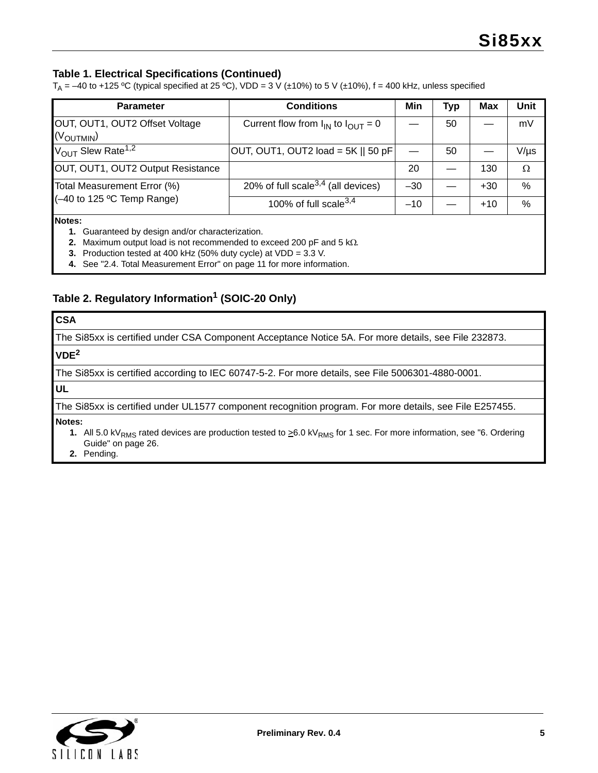#### **Table 1. Electrical Specifications (Continued)**

 $T_A = -40$  to +125 °C (typical specified at 25 °C), VDD = 3 V (±10%) to 5 V (±10%), f = 400 kHz, unless specified

| <b>Parameter</b>                                        | <b>Conditions</b>                           | Min   | Typ | Max   | Unit      |
|---------------------------------------------------------|---------------------------------------------|-------|-----|-------|-----------|
| OUT, OUT1, OUT2 Offset Voltage<br>(VOUTMIN)             | Current flow from $I_{IN}$ to $I_{OUT} = 0$ |       | 50  |       | mV        |
| $V_{\text{OUT}}$ Slew Rate <sup>1,2</sup>               | OUT, OUT1, OUT2 load = $5K \parallel 50 pF$ |       | 50  |       | $V/\mu s$ |
| OUT, OUT1, OUT2 Output Resistance                       |                                             | 20    |     | 130   | $\Omega$  |
| Total Measurement Error (%)                             | 20% of full scale $3,4$ (all devices)       | $-30$ |     | $+30$ | %         |
| (-40 to 125 °C Temp Range)                              | 100% of full scale $3,4$                    | $-10$ |     | $+10$ | %         |
| Notes:<br>Guaranteed by design and/or characterization. |                                             |       |     |       |           |

**2.** Maximum output load is not recommended to exceed 200 pF and 5 k $\Omega$ .

- **3.** Production tested at 400 kHz (50% duty cycle) at VDD = 3.3 V.
- **4.** See "2.4. Total Measurement Error" on page 11 for more information.

# <span id="page-4-2"></span>**Table 2. Regulatory Informatio[n1](#page-4-0) (SOIC-20 Only)**

| <b>CSA</b>                                                                                           |  |
|------------------------------------------------------------------------------------------------------|--|
| The Si85xx is certified under CSA Component Acceptance Notice 5A. For more details, see File 232873. |  |

**VDE[2](#page-4-1)**

The Si85xx is certified according to IEC 60747-5-2. For more details, see File 5006301-4880-0001.

**UL**

The Si85xx is certified under UL1577 component recognition program. For more details, see File E257455.

<span id="page-4-0"></span>**Notes:**

1. All 5.0 kV<sub>RMS</sub> rated devices are production tested to  $\geq$ 6.0 kV<sub>RMS</sub> for 1 sec. For more information, see "6. Ordering [Guide" on page 26](#page-25-0).

<span id="page-4-1"></span>**2.** Pending.

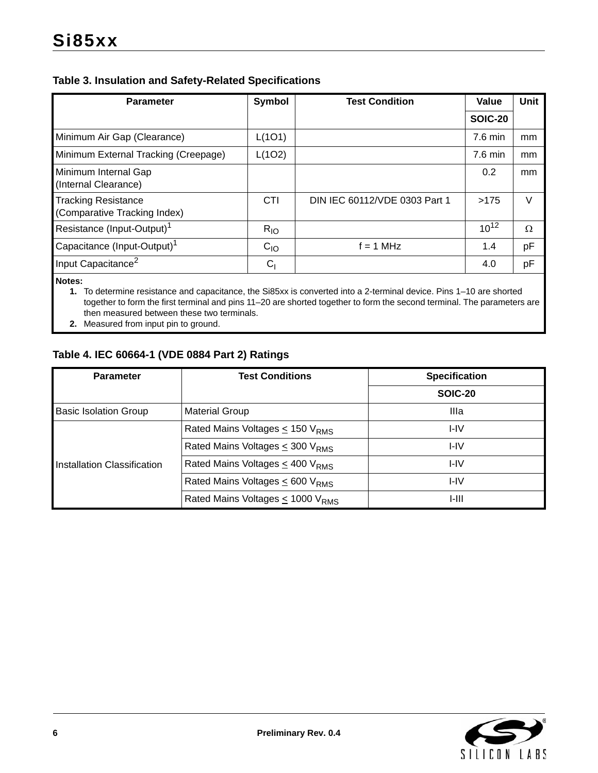### **Table 3. Insulation and Safety-Related Specifications**

| <b>Parameter</b>                                           | Symbol         | <b>Test Condition</b>         | Value          | Unit     |
|------------------------------------------------------------|----------------|-------------------------------|----------------|----------|
|                                                            |                |                               | <b>SOIC-20</b> |          |
| Minimum Air Gap (Clearance)                                | L(1O1)         |                               | 7.6 min        | mm       |
| Minimum External Tracking (Creepage)                       | L(1O2)         |                               | 7.6 min        | mm       |
| Minimum Internal Gap<br>(Internal Clearance)               |                |                               | 0.2            | mm       |
| <b>Tracking Resistance</b><br>(Comparative Tracking Index) | <b>CTI</b>     | DIN IEC 60112/VDE 0303 Part 1 | >175           | v        |
| Resistance (Input-Output) <sup>1</sup>                     | $R_{IO}$       |                               | $10^{12}$      | $\Omega$ |
| Capacitance (Input-Output) <sup>1</sup>                    | $C_{10}$       | $f = 1 MHz$                   | 1.4            | pF       |
| Input Capacitance <sup>2</sup>                             | C <sub>1</sub> |                               | 4.0            | pF       |
| <b>Materia</b>                                             |                |                               |                |          |

**Notes:**

**1.** To determine resistance and capacitance, the Si85xx is converted into a 2-terminal device. Pins 1–10 are shorted together to form the first terminal and pins 11–20 are shorted together to form the second terminal. The parameters are then measured between these two terminals.

**2.** Measured from input pin to ground.

### **Table 4. IEC 60664-1 (VDE 0884 Part 2) Ratings**

| <b>Parameter</b>             | <b>Test Conditions</b>                            | <b>Specification</b> |
|------------------------------|---------------------------------------------------|----------------------|
|                              |                                                   | <b>SOIC-20</b>       |
| <b>Basic Isolation Group</b> | <b>Material Group</b>                             | Illa                 |
|                              | Rated Mains Voltages $\leq$ 150 V <sub>RMS</sub>  | I-IV                 |
|                              | Rated Mains Voltages $\leq$ 300 V <sub>RMS</sub>  | I-IV                 |
| Installation Classification  | Rated Mains Voltages $\leq$ 400 V <sub>RMS</sub>  | I-IV                 |
|                              | Rated Mains Voltages $\leq 600 V_{RMS}$           | I-IV                 |
|                              | Rated Mains Voltages $\leq$ 1000 V <sub>RMS</sub> | I-III                |

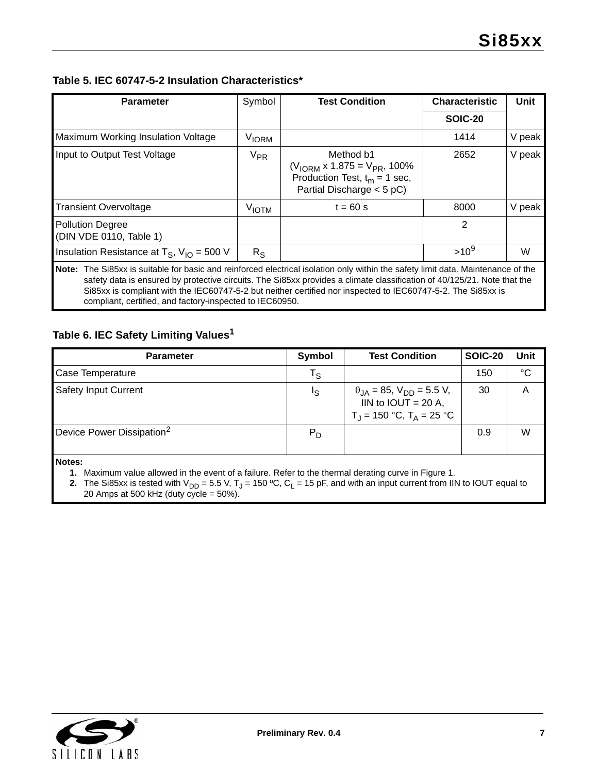### **Table 5. IEC 60747-5-2 Insulation Characteristics\***

| <b>Parameter</b>                                                                                                                                                                                                                                                                                                                                                                                                                             | Symbol            | <b>Test Condition</b>                                                                                                                 | <b>Characteristic</b> | Unit   |
|----------------------------------------------------------------------------------------------------------------------------------------------------------------------------------------------------------------------------------------------------------------------------------------------------------------------------------------------------------------------------------------------------------------------------------------------|-------------------|---------------------------------------------------------------------------------------------------------------------------------------|-----------------------|--------|
|                                                                                                                                                                                                                                                                                                                                                                                                                                              |                   |                                                                                                                                       | SOIC-20               |        |
| Maximum Working Insulation Voltage                                                                                                                                                                                                                                                                                                                                                                                                           | V <sub>IORM</sub> |                                                                                                                                       | 1414                  | V peak |
| Input to Output Test Voltage                                                                                                                                                                                                                                                                                                                                                                                                                 | $V_{PR}$          | Method b1<br>$(V_{\text{IORM}} \times 1.875 = V_{\text{PR}}$ , 100%<br>Production Test, $t_m = 1$ sec,<br>Partial Discharge $<$ 5 pC) | 2652                  | V peak |
| <b>Transient Overvoltage</b>                                                                                                                                                                                                                                                                                                                                                                                                                 | V <sub>IOTM</sub> | $t = 60$ s                                                                                                                            | 8000                  | V peak |
| <b>Pollution Degree</b><br>(DIN VDE 0110, Table 1)                                                                                                                                                                                                                                                                                                                                                                                           |                   |                                                                                                                                       | 2                     |        |
| Insulation Resistance at $T_S$ , $V_{IO} = 500$ V                                                                                                                                                                                                                                                                                                                                                                                            | $R_{\rm S}$       |                                                                                                                                       | $>10^{9}$             | W      |
| The Si85xx is suitable for basic and reinforced electrical isolation only within the safety limit data. Maintenance of the<br>I Note:<br>safety data is ensured by protective circuits. The Si85xx provides a climate classification of 40/125/21. Note that the<br>Si85xx is compliant with the IEC60747-5-2 but neither certified nor inspected to IEC60747-5-2. The Si85xx is<br>compliant, certified, and factory-inspected to IEC60950. |                   |                                                                                                                                       |                       |        |

# **Table 6. IEC Safety Limiting Values[1](#page-6-0)**

| <b>Parameter</b>                      | Symbol         | <b>Test Condition</b>                                                                                       | <b>SOIC-20</b> | Unit        |
|---------------------------------------|----------------|-------------------------------------------------------------------------------------------------------------|----------------|-------------|
| Case Temperature                      | $T_{\text{S}}$ |                                                                                                             | 150            | $^{\circ}C$ |
| <b>Safety Input Current</b>           | Ιs             | $\theta_{JA}$ = 85, $V_{DD}$ = 5.5 V,<br>IIN to IOUT = $20$ A,<br>$T_{\rm J}$ = 150 °C, $T_{\rm A}$ = 25 °C | 30             | A           |
| Device Power Dissipation <sup>2</sup> | $P_D$          |                                                                                                             | 0.9            | W           |

<span id="page-6-0"></span>**Notes:**

**1.** Maximum value allowed in the event of a failure. Refer to the thermal derating curve in [Figure 1.](#page-7-0)

<span id="page-6-1"></span>**2.** The Si85xx is tested with V<sub>DD</sub> = 5.5 V, T<sub>J</sub> = 150 °C, C<sub>L</sub> = 15 pF, and with an input current from IIN to IOUT equal to 20 Amps at 500 kHz (duty cycle = 50%).

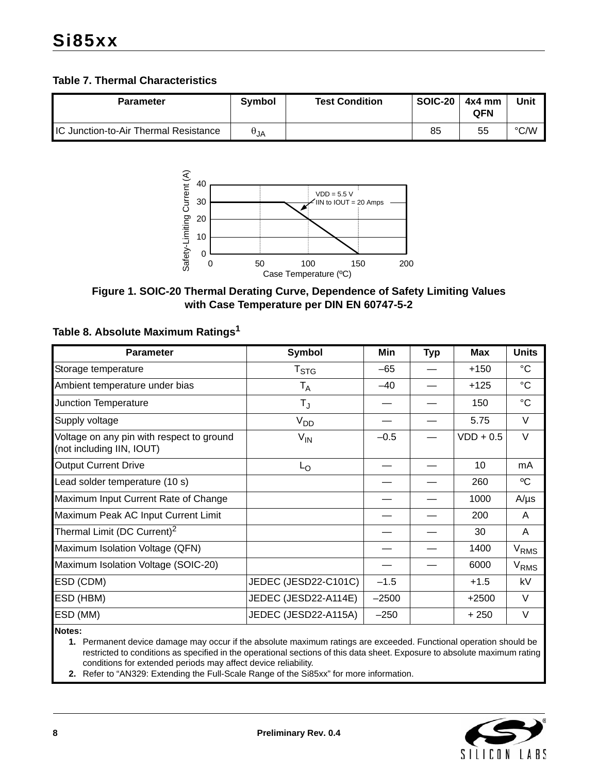### **Table 7. Thermal Characteristics**

| <b>Parameter</b>                             | <b>Symbol</b>        | <b>Test Condition</b> | <b>SOIC-20</b> | $4x4$ mm<br>QFN | Unit |
|----------------------------------------------|----------------------|-----------------------|----------------|-----------------|------|
| <b>IC Junction-to-Air Thermal Resistance</b> | $\theta_\mathsf{JA}$ |                       | 85             | 55              | °C/W |



<span id="page-7-0"></span>

# <span id="page-7-3"></span>**Table 8. Absolute Maximum Rating[s1](#page-7-1)**

| <b>Parameter</b>                                                       | Symbol               | Min     | <b>Typ</b> | <b>Max</b>  | <b>Units</b>           |
|------------------------------------------------------------------------|----------------------|---------|------------|-------------|------------------------|
| Storage temperature                                                    | $T_{\text{STG}}$     | $-65$   |            | $+150$      | $^{\circ}C$            |
| Ambient temperature under bias                                         | $T_A$                | -40     |            | $+125$      | $^{\circ}C$            |
| Junction Temperature                                                   | $T_{\rm J}$          |         |            | 150         | $^{\circ}C$            |
| Supply voltage                                                         | V <sub>DD</sub>      |         |            | 5.75        | $\vee$                 |
| Voltage on any pin with respect to ground<br>(not including IIN, IOUT) | $V_{\text{IN}}$      | $-0.5$  |            | $VDD + 0.5$ | $\vee$                 |
| <b>Output Current Drive</b>                                            | $L_{\rm O}$          |         |            | 10          | mA                     |
| Lead solder temperature (10 s)                                         |                      |         |            | 260         | °C                     |
| Maximum Input Current Rate of Change                                   |                      |         |            | 1000        | $A/\mu s$              |
| Maximum Peak AC Input Current Limit                                    |                      |         |            | 200         | A                      |
| Thermal Limit (DC Current) <sup>2</sup>                                |                      |         |            | 30          | A                      |
| Maximum Isolation Voltage (QFN)                                        |                      |         |            | 1400        | <b>V<sub>RMS</sub></b> |
| Maximum Isolation Voltage (SOIC-20)                                    |                      |         |            | 6000        | $V_{RMS}$              |
| ESD (CDM)                                                              | JEDEC (JESD22-C101C) | $-1.5$  |            | $+1.5$      | kV                     |
| ESD (HBM)                                                              | JEDEC (JESD22-A114E) | $-2500$ |            | $+2500$     | V                      |
| ESD (MM)                                                               | JEDEC (JESD22-A115A) | $-250$  |            | $+250$      | V                      |

<span id="page-7-1"></span>**Notes:**

**1.** Permanent device damage may occur if the absolute maximum ratings are exceeded. Functional operation should be restricted to conditions as specified in the operational sections of this data sheet. Exposure to absolute maximum rating conditions for extended periods may affect device reliability.

<span id="page-7-2"></span>**2.** Refer to "AN329: Extending the Full-Scale Range of the Si85xx" for more information.

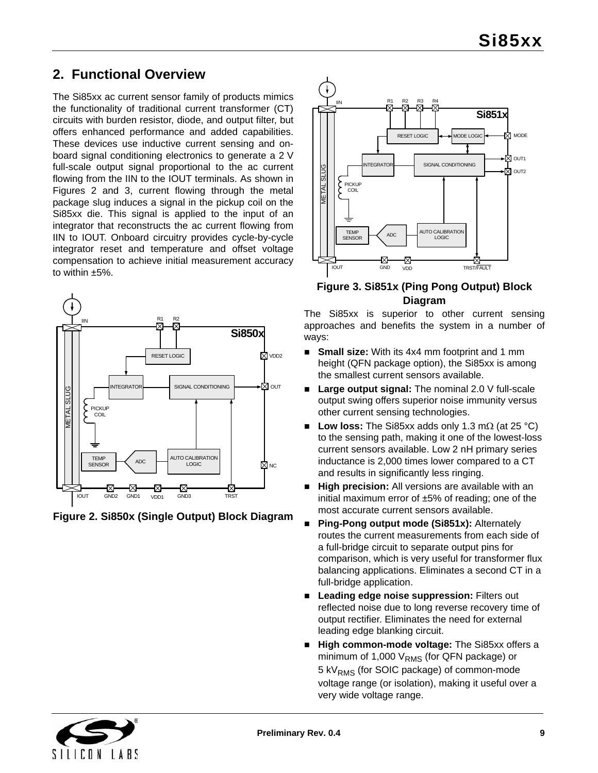# <span id="page-8-0"></span>**2. Functional Overview**

The Si85xx ac current sensor family of products mimics the functionality of traditional current transformer (CT) circuits with burden resistor, diode, and output filter, but offers enhanced performance and added capabilities. These devices use inductive current sensing and onboard signal conditioning electronics to generate a 2 V full-scale output signal proportional to the ac current flowing from the IIN to the IOUT terminals. As shown in Figures [2](#page-8-1) and [3](#page-8-2), current flowing through the metal package slug induces a signal in the pickup coil on the Si85xx die. This signal is applied to the input of an integrator that reconstructs the ac current flowing from IIN to IOUT. Onboard circuitry provides cycle-by-cycle integrator reset and temperature and offset voltage compensation to achieve initial measurement accuracy to within ±5%.



<span id="page-8-1"></span>**Figure 2. Si850x (Single Output) Block Diagram**



#### <span id="page-8-2"></span>**Figure 3. Si851x (Ping Pong Output) Block Diagram**

The Si85xx is superior to other current sensing approaches and benefits the system in a number of ways:

- **Small size:** With its 4x4 mm footprint and 1 mm height (QFN package option), the Si85xx is among the smallest current sensors available.
- **Large output signal:** The nominal 2.0 V full-scale output swing offers superior noise immunity versus other current sensing technologies.
- **Low loss:** The Si85xx adds only 1.3 m $\Omega$  (at 25 °C) to the sensing path, making it one of the lowest-loss current sensors available. Low 2 nH primary series inductance is 2,000 times lower compared to a CT and results in significantly less ringing.
- **High precision:** All versions are available with an initial maximum error of ±5% of reading; one of the most accurate current sensors available.
- **Ping-Pong output mode (Si851x):** Alternately routes the current measurements from each side of a full-bridge circuit to separate output pins for comparison, which is very useful for transformer flux balancing applications. Eliminates a second CT in a full-bridge application.
- **Leading edge noise suppression:** Filters out reflected noise due to long reverse recovery time of output rectifier. Eliminates the need for external leading edge blanking circuit.
- **High common-mode voltage:** The Si85xx offers a minimum of 1,000  $V<sub>RMS</sub>$  (for QFN package) or 5 kV<sub>RMS</sub> (for SOIC package) of common-mode voltage range (or isolation), making it useful over a very wide voltage range.

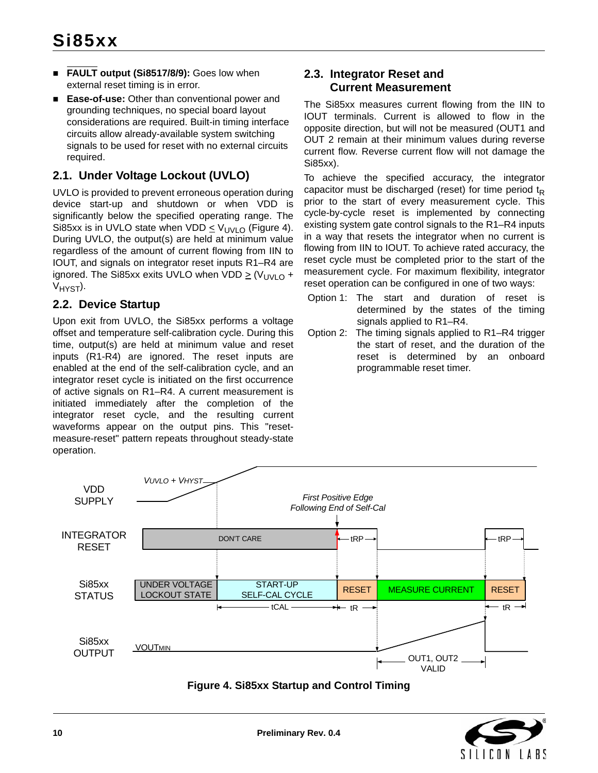- **FAULT output (Si8517/8/9):** Goes low when external reset timing is in error.
- **Ease-of-use:** Other than conventional power and grounding techniques, no special board layout considerations are required. Built-in timing interface circuits allow already-available system switching signals to be used for reset with no external circuits required.

# <span id="page-9-0"></span>**2.1. Under Voltage Lockout (UVLO)**

UVLO is provided to prevent erroneous operation during device start-up and shutdown or when VDD is significantly below the specified operating range. The Si85xx is in UVLO state when VDD  $\leq$  V<sub>UVLO</sub> ([Figure 4](#page-9-3)). During UVLO, the output(s) are held at minimum value regardless of the amount of current flowing from IIN to IOUT, and signals on integrator reset inputs R1–R4 are ignored. The Si85xx exits UVLO when VDD  $\geq$  (V<sub>LIVLO</sub> +  $V_{HYST}$ ).

### <span id="page-9-1"></span>**2.2. Device Startup**

Upon exit from UVLO, the Si85xx performs a voltage offset and temperature self-calibration cycle. During this time, output(s) are held at minimum value and reset inputs (R1-R4) are ignored. The reset inputs are enabled at the end of the self-calibration cycle, and an integrator reset cycle is initiated on the first occurrence of active signals on R1–R4. A current measurement is initiated immediately after the completion of the integrator reset cycle, and the resulting current waveforms appear on the output pins. This "resetmeasure-reset" pattern repeats throughout steady-state operation.

### <span id="page-9-2"></span>**2.3. Integrator Reset and Current Measurement**

The Si85xx measures current flowing from the IIN to IOUT terminals. Current is allowed to flow in the opposite direction, but will not be measured (OUT1 and OUT 2 remain at their minimum values during reverse current flow. Reverse current flow will not damage the Si85xx).

To achieve the specified accuracy, the integrator capacitor must be discharged (reset) for time period  $t_R$ prior to the start of every measurement cycle. This cycle-by-cycle reset is implemented by connecting existing system gate control signals to the R1–R4 inputs in a way that resets the integrator when no current is flowing from IIN to IOUT. To achieve rated accuracy, the reset cycle must be completed prior to the start of the measurement cycle. For maximum flexibility, integrator reset operation can be configured in one of two ways:

- Option 1: The start and duration of reset is determined by the states of the timing signals applied to R1–R4.
- Option 2: The timing signals applied to R1–R4 trigger the start of reset, and the duration of the reset is determined by an onboard programmable reset timer.



<span id="page-9-3"></span>

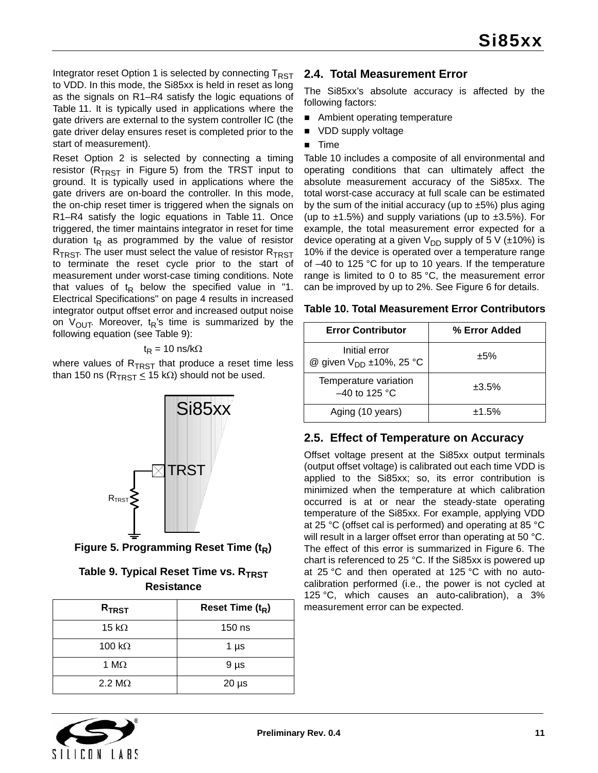Integrator reset Option 1 is selected by connecting  $T_{RST}$ to VDD. In this mode, the Si85xx is held in reset as long as the signals on R1–R4 satisfy the logic equations of [Table 11](#page-15-0). It is typically used in applications where the gate drivers are external to the system controller IC (the gate driver delay ensures reset is completed prior to the start of measurement).

Reset Option 2 is selected by connecting a timing resistor ( $R_{TRST}$  in [Figure 5](#page-10-2)) from the TRST input to ground. It is typically used in applications where the gate drivers are on-board the controller. In this mode, the on-chip reset timer is triggered when the signals on R1–R4 satisfy the logic equations in [Table 11](#page-15-0). Once triggered, the timer maintains integrator in reset for time duration  $t<sub>R</sub>$  as programmed by the value of resistor  $R_{TRST}$ . The user must select the value of resistor  $R_{TRST}$ to terminate the reset cycle prior to the start of measurement under worst-case timing conditions. Note that values of  $t_R$  below the specified value in ["1.](#page-3-0) [Electrical Specifications" on page 4](#page-3-0) results in increased integrator output offset error and increased output noise on  $V_{\text{OUT}}$ . Moreover,  $t_R$ 's time is summarized by the following equation (see [Table 9](#page-10-3)):

#### $t_R = 10$  ns/k $\Omega$

where values of  $R_{TRST}$  that produce a reset time less than 150 ns ( $R_{TRST} \le 15$  k $\Omega$ ) should not be used.



<span id="page-10-2"></span>**Figure 5. Programming Reset Time (t<sub>R</sub>)** 

### <span id="page-10-3"></span>**Table 9. Typical Reset Time vs. R<sub>TRST</sub> Resistance**

| $R_{TRST}$     | Reset Time $(t_R)$ |
|----------------|--------------------|
| 15 k $\Omega$  | 150 ns             |
| 100 k $\Omega$ | 1 $\mu$ s          |
| 1 M $\Omega$   | $9 \mu s$          |
| 2.2 M $\Omega$ | $20 \mu s$         |

# <span id="page-10-0"></span>**2.4. Total Measurement Error**

The Si85xx's absolute accuracy is affected by the following factors:

- Ambient operating temperature
- VDD supply voltage
- $\blacksquare$  Time

[Table 10](#page-10-4) includes a composite of all environmental and operating conditions that can ultimately affect the absolute measurement accuracy of the Si85xx. The total worst-case accuracy at full scale can be estimated by the sum of the initial accuracy (up to  $\pm$ 5%) plus aging (up to  $\pm$ 1.5%) and supply variations (up to  $\pm$ 3.5%). For example, the total measurement error expected for a device operating at a given  $V_{DD}$  supply of 5 V ( $\pm$ 10%) is 10% if the device is operated over a temperature range of –40 to 125 °C for up to 10 years. If the temperature range is limited to 0 to 85 °C, the measurement error can be improved by up to 2%. See [Figure 6](#page-11-3) for details.

<span id="page-10-4"></span>

|  |  | Table 10. Total Measurement Error Contributors |  |  |
|--|--|------------------------------------------------|--|--|
|--|--|------------------------------------------------|--|--|

| <b>Error Contributor</b>                             | % Error Added |
|------------------------------------------------------|---------------|
| Initial error<br>@ given V <sub>DD</sub> ±10%, 25 °C | $+5%$         |
| Temperature variation<br>$-40$ to 125 °C             | ±3.5%         |
| Aging (10 years)                                     | ±1.5%         |

### <span id="page-10-1"></span>**2.5. Effect of Temperature on Accuracy**

Offset voltage present at the Si85xx output terminals (output offset voltage) is calibrated out each time VDD is applied to the Si85xx; so, its error contribution is minimized when the temperature at which calibration occurred is at or near the steady-state operating temperature of the Si85xx. For example, applying VDD at 25 °C (offset cal is performed) and operating at 85 °C will result in a larger offset error than operating at 50 °C. The effect of this error is summarized in [Figure 6](#page-11-3). The chart is referenced to 25 °C. If the Si85xx is powered up at 25 °C and then operated at 125 °C with no autocalibration performed (i.e., the power is not cycled at 125 °C, which causes an auto-calibration), a 3% measurement error can be expected.

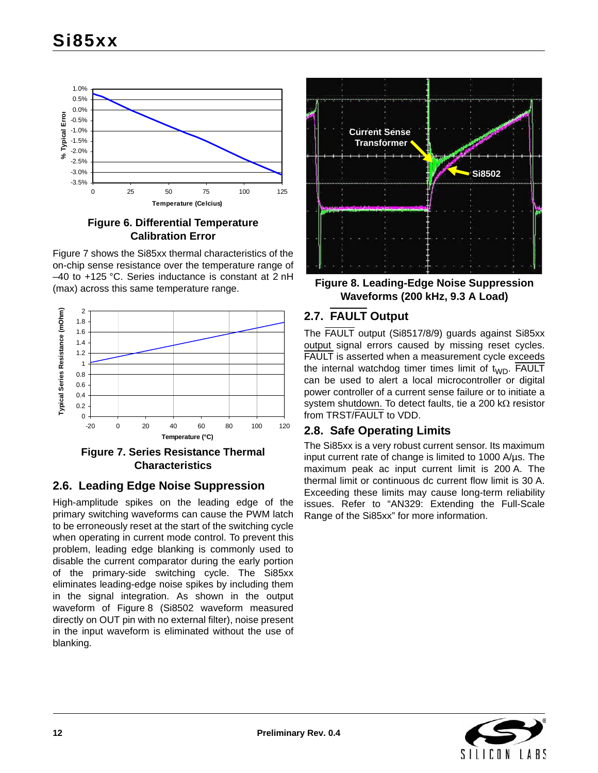

**Figure 6. Differential Temperature Calibration Error**

<span id="page-11-3"></span>[Figure 7](#page-11-4) shows the Si85xx thermal characteristics of the on-chip sense resistance over the temperature range of –40 to +125 °C. Series inductance is constant at 2 nH (max) across this same temperature range.



<span id="page-11-4"></span>**Figure 7. Series Resistance Thermal Characteristics**

### <span id="page-11-0"></span>**2.6. Leading Edge Noise Suppression**

High-amplitude spikes on the leading edge of the primary switching waveforms can cause the PWM latch to be erroneously reset at the start of the switching cycle when operating in current mode control. To prevent this problem, leading edge blanking is commonly used to disable the current comparator during the early portion of the primary-side switching cycle. The Si85xx eliminates leading-edge noise spikes by including them in the signal integration. As shown in the output waveform of [Figure 8](#page-11-5) (Si8502 waveform measured directly on OUT pin with no external filter), noise present in the input waveform is eliminated without the use of blanking.



<span id="page-11-5"></span>**Figure 8. Leading-Edge Noise Suppression Waveforms (200 kHz, 9.3 A Load)**

# <span id="page-11-1"></span>**2.7. FAULT Output**

The FAULT output (Si8517/8/9) guards against Si85xx output signal errors caused by missing reset cycles. FAULT is asserted when a measurement cycle exceeds the internal watchdog timer times limit of  $t_{WD}$ . FAULT can be used to alert a local microcontroller or digital power controller of a current sense failure or to initiate a system shutdown. To detect faults, tie a 200 k $\Omega$  resistor from TRST/FAULT to VDD.

### <span id="page-11-2"></span>**2.8. Safe Operating Limits**

The Si85xx is a very robust current sensor. Its maximum input current rate of change is limited to 1000 A/µs. The maximum peak ac input current limit is 200 A. The thermal limit or continuous dc current flow limit is 30 A. Exceeding these limits may cause long-term reliability issues. Refer to "AN329: Extending the Full-Scale Range of the Si85xx" for more information.

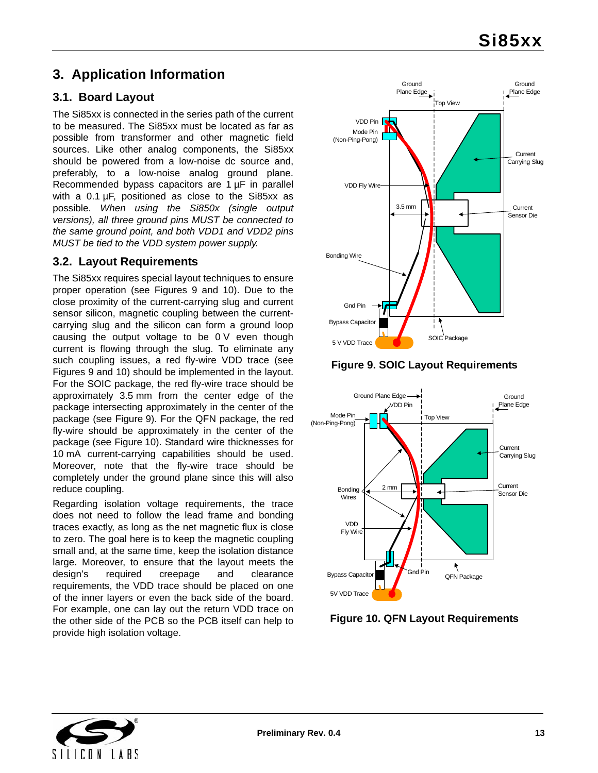# <span id="page-12-0"></span>**3. Application Information**

### <span id="page-12-1"></span>**3.1. Board Layout**

The Si85xx is connected in the series path of the current to be measured. The Si85xx must be located as far as possible from transformer and other magnetic field sources. Like other analog components, the Si85xx should be powered from a low-noise dc source and, preferably, to a low-noise analog ground plane. Recommended bypass capacitors are 1 µF in parallel with a 0.1 µF, positioned as close to the Si85xx as possible. *When using the Si850x (single output versions), all three ground pins MUST be connected to the same ground point, and both VDD1 and VDD2 pins MUST be tied to the VDD system power supply.*

### <span id="page-12-2"></span>**3.2. Layout Requirements**

The Si85xx requires special layout techniques to ensure proper operation (see Figures [9](#page-12-4) and [10\)](#page-12-3). Due to the close proximity of the current-carrying slug and current sensor silicon, magnetic coupling between the currentcarrying slug and the silicon can form a ground loop causing the output voltage to be 0 V even though current is flowing through the slug. To eliminate any such coupling issues, a red fly-wire VDD trace (see Figures [9](#page-12-4) and [10\)](#page-12-3) should be implemented in the layout. For the SOIC package, the red fly-wire trace should be approximately 3.5 mm from the center edge of the package intersecting approximately in the center of the package (see [Figure 9\)](#page-12-4). For the QFN package, the red fly-wire should be approximately in the center of the package (see [Figure 10\)](#page-12-3). Standard wire thicknesses for 10 mA current-carrying capabilities should be used. Moreover, note that the fly-wire trace should be completely under the ground plane since this will also reduce coupling.

Regarding isolation voltage requirements, the trace does not need to follow the lead frame and bonding traces exactly, as long as the net magnetic flux is close to zero. The goal here is to keep the magnetic coupling small and, at the same time, keep the isolation distance large. Moreover, to ensure that the layout meets the design's required creepage and clearance requirements, the VDD trace should be placed on one of the inner layers or even the back side of the board. For example, one can lay out the return VDD trace on the other side of the PCB so the PCB itself can help to provide high isolation voltage.



**Figure 9. SOIC Layout Requirements**

<span id="page-12-4"></span>

<span id="page-12-3"></span>**Figure 10. QFN Layout Requirements**

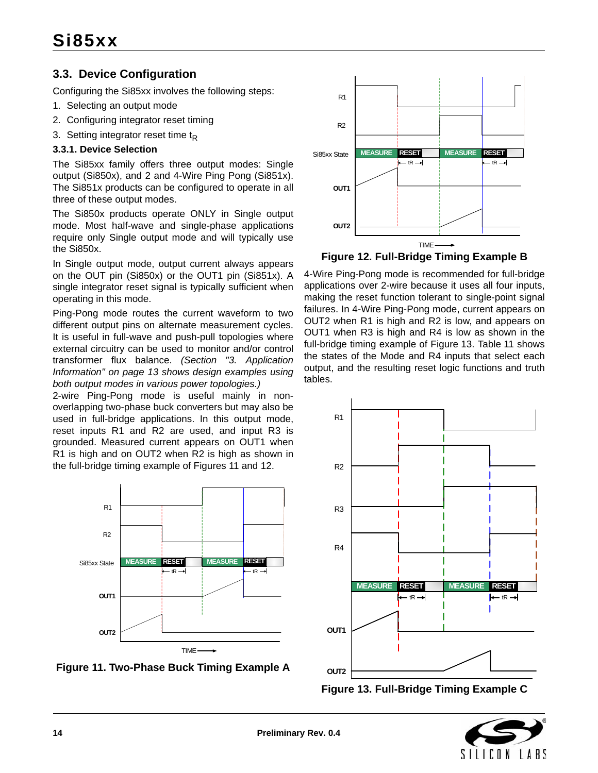# <span id="page-13-0"></span>**3.3. Device Configuration**

Configuring the Si85xx involves the following steps:

- 1. Selecting an output mode
- 2. Configuring integrator reset timing
- 3. Setting integrator reset time  $t_R$

#### **3.3.1. Device Selection**

The Si85xx family offers three output modes: Single output (Si850x), and 2 and 4-Wire Ping Pong (Si851x). The Si851x products can be configured to operate in all three of these output modes.

The Si850x products operate ONLY in Single output mode. Most half-wave and single-phase applications require only Single output mode and will typically use the Si850x.

In Single output mode, output current always appears on the OUT pin (Si850x) or the OUT1 pin (Si851x). A single integrator reset signal is typically sufficient when operating in this mode.

Ping-Pong mode routes the current waveform to two different output pins on alternate measurement cycles. It is useful in full-wave and push-pull topologies where external circuitry can be used to monitor and/or control transformer flux balance. *(Section ["3. Application](#page-12-0) [Information" on page 13](#page-12-0) shows design examples using both output modes in various power topologies.)*

2-wire Ping-Pong mode is useful mainly in nonoverlapping two-phase buck converters but may also be used in full-bridge applications. In this output mode, reset inputs R1 and R2 are used, and input R3 is grounded. Measured current appears on OUT1 when R1 is high and on OUT2 when R2 is high as shown in the full-bridge timing example of Figures [11](#page-13-1) and [12](#page-13-3).



<span id="page-13-1"></span>**Figure 11. Two-Phase Buck Timing Example A**



<span id="page-13-3"></span>**Figure 12. Full-Bridge Timing Example B**

4-Wire Ping-Pong mode is recommended for full-bridge applications over 2-wire because it uses all four inputs, making the reset function tolerant to single-point signal failures. In 4-Wire Ping-Pong mode, current appears on OUT2 when R1 is high and R2 is low, and appears on OUT1 when R3 is high and R4 is low as shown in the full-bridge timing example of [Figure 13](#page-13-2). [Table 11](#page-15-0) shows the states of the Mode and R4 inputs that select each output, and the resulting reset logic functions and truth tables.



<span id="page-13-2"></span>**Figure 13. Full-Bridge Timing Example C**

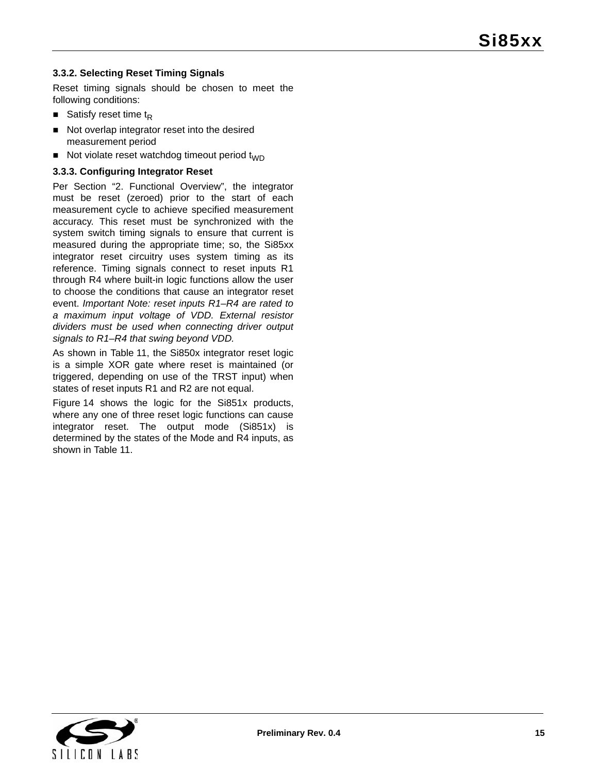#### **3.3.2. Selecting Reset Timing Signals**

Reset timing signals should be chosen to meet the following conditions:

- Satisfy reset time  $t_R$
- Not overlap integrator reset into the desired measurement period
- Not violate reset watchdog timeout period  $t_{WD}$

#### **3.3.3. Configuring Integrator Reset**

Per Section ["2. Functional Overview",](#page-8-0) the integrator must be reset (zeroed) prior to the start of each measurement cycle to achieve specified measurement accuracy. This reset must be synchronized with the system switch timing signals to ensure that current is measured during the appropriate time; so, the Si85xx integrator reset circuitry uses system timing as its reference. Timing signals connect to reset inputs R1 through R4 where built-in logic functions allow the user to choose the conditions that cause an integrator reset event. *Important Note: reset inputs R1–R4 are rated to a maximum input voltage of VDD. External resistor dividers must be used when connecting driver output signals to R1–R4 that swing beyond VDD.*

As shown in [Table 11](#page-15-0), the Si850x integrator reset logic is a simple XOR gate where reset is maintained (or triggered, depending on use of the TRST input) when states of reset inputs R1 and R2 are not equal.

[Figure 14](#page-16-0) shows the logic for the Si851x products, where any one of three reset logic functions can cause integrator reset. The output mode (Si851x) is determined by the states of the Mode and R4 inputs, as shown in [Table 11](#page-15-0).

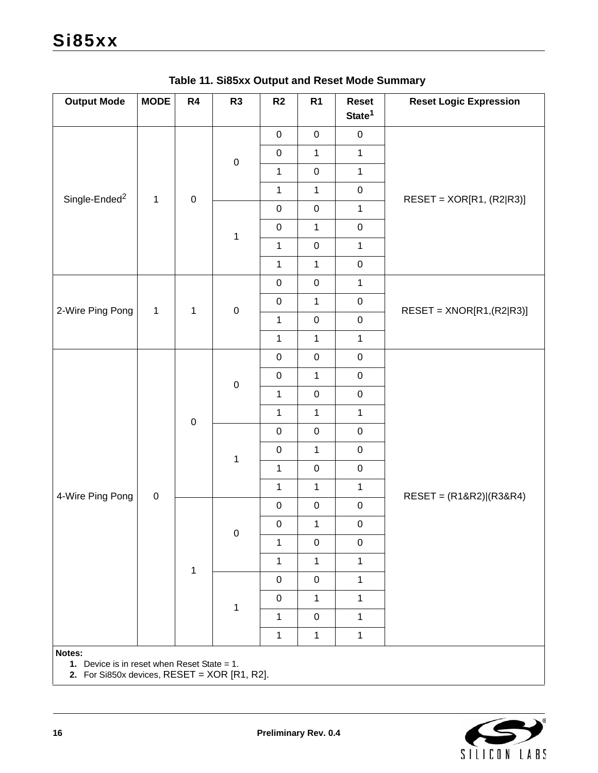<span id="page-15-0"></span>

| Single-Ended <sup>2</sup><br>$\mathbf{1}$ | $\pmb{0}$    | $\pmb{0}$    | $\mathbf 0$<br>$\pmb{0}$<br>$\mathbf{1}$ | $\boldsymbol{0}$<br>$\mathbf{1}$ | $\pmb{0}$    |                           |
|-------------------------------------------|--------------|--------------|------------------------------------------|----------------------------------|--------------|---------------------------|
|                                           |              |              |                                          |                                  |              |                           |
|                                           |              |              |                                          |                                  | $\mathbf{1}$ |                           |
|                                           |              |              |                                          | $\mathbf 0$                      | $\mathbf{1}$ |                           |
|                                           |              |              | $\mathbf{1}$                             | $\mathbf{1}$                     | $\mathsf 0$  |                           |
|                                           |              |              | $\pmb{0}$                                | $\pmb{0}$                        | $\mathbf{1}$ | $REST = XOR[R1, (R2 R3)]$ |
|                                           |              | $\mathbf{1}$ | $\mbox{O}$                               | $\mathbf{1}$                     | $\pmb{0}$    |                           |
|                                           |              |              | $\mathbf{1}$                             | $\pmb{0}$                        | $\mathbf{1}$ |                           |
|                                           |              |              | $\mathbf{1}$                             | $\mathbf{1}$                     | $\pmb{0}$    |                           |
|                                           |              |              | $\mathbf 0$                              | $\mathbf 0$                      | $\mathbf{1}$ |                           |
| 2-Wire Ping Pong<br>$\mathbf{1}$          | $\mathbf{1}$ | $\pmb{0}$    | $\pmb{0}$                                | $\mathbf{1}$                     | $\mathsf 0$  | $REST = XNOR[R1,(R2 R3)]$ |
|                                           |              |              | $\mathbf{1}$                             | $\mathbf 0$                      | $\pmb{0}$    |                           |
|                                           |              |              | $\mathbf{1}$                             | $\mathbf{1}$                     | $\mathbf{1}$ |                           |
|                                           |              | $\pmb{0}$    | $\mathbf 0$                              | $\pmb{0}$                        | $\pmb{0}$    |                           |
|                                           |              |              | $\pmb{0}$                                | $\mathbf{1}$                     | $\mathsf 0$  |                           |
|                                           |              |              | $\mathbf{1}$                             | $\mathbf 0$                      | $\pmb{0}$    |                           |
|                                           | $\,0\,$      |              | $\mathbf{1}$                             | $\mathbf{1}$                     | $\mathbf{1}$ |                           |
|                                           |              |              | $\pmb{0}$                                | $\pmb{0}$                        | $\mathsf 0$  |                           |
|                                           |              | $\mathbf{1}$ | $\mbox{O}$                               | $\mathbf{1}$                     | $\pmb{0}$    |                           |
|                                           |              |              | $\mathbf{1}$                             | $\pmb{0}$                        | $\pmb{0}$    |                           |
| 4-Wire Ping Pong<br>$\pmb{0}$             |              |              | $\mathbf{1}$                             | $\mathbf{1}$                     | $\mathbf{1}$ | $RESET = (R1&R2) (R3&R4)$ |
|                                           |              |              | $\mathbf 0$                              | $\mathbf 0$                      | $\pmb{0}$    |                           |
|                                           |              | $\mathbf 0$  | $\mathbf 0$                              | $\mathbf{1}$                     | $\mathbf 0$  |                           |
|                                           |              |              | $\mathbf{1}$                             | $\mathbf 0$                      | 0            |                           |
|                                           | 1            |              | $\mathbf{1}$                             | $\mathbf{1}$                     | $\mathbf{1}$ |                           |
|                                           |              |              | $\mathbf 0$                              | $\mathbf 0$                      | $\mathbf{1}$ |                           |
|                                           |              | 1            | 0                                        | $\mathbf{1}$                     | $\mathbf{1}$ |                           |
|                                           |              |              | $\mathbf{1}$                             | 0                                | $\mathbf{1}$ |                           |
|                                           |              |              | 1                                        | $\mathbf{1}$                     | $\mathbf{1}$ |                           |

**Table 11. Si85xx Output and Reset Mode Summary**

<span id="page-15-1"></span>**1.** Device is in reset when Reset State = 1.

<span id="page-15-2"></span>**2.** For Si850x devices, RESET = XOR [R1, R2].

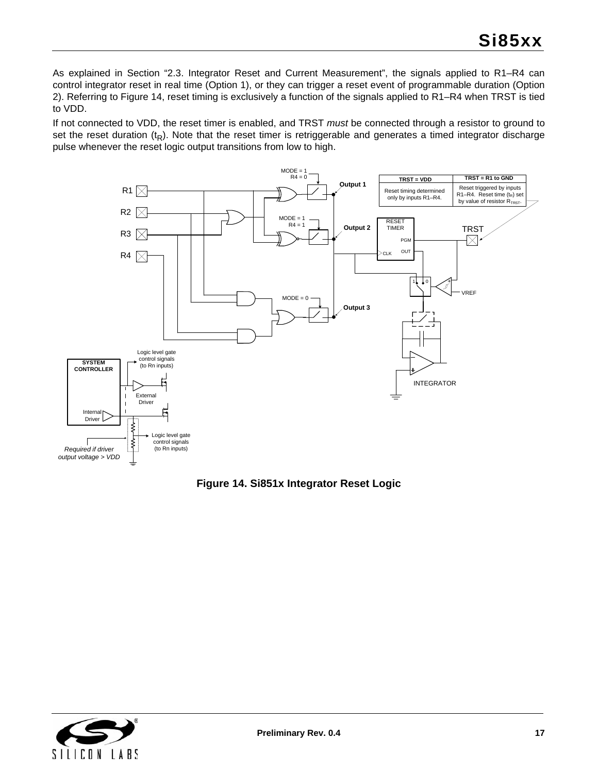As explained in Section ["2.3. Integrator Reset and Current Measurement",](#page-9-2) the signals applied to R1–R4 can control integrator reset in real time (Option 1), or they can trigger a reset event of programmable duration (Option 2). Referring to [Figure 14,](#page-16-0) reset timing is exclusively a function of the signals applied to R1–R4 when TRST is tied to VDD.

If not connected to VDD, the reset timer is enabled, and TRST *must* be connected through a resistor to ground to set the reset duration  $(t_R)$ . Note that the reset timer is retriggerable and generates a timed integrator discharge pulse whenever the reset logic output transitions from low to high.



<span id="page-16-0"></span>**Figure 14. Si851x Integrator Reset Logic** 

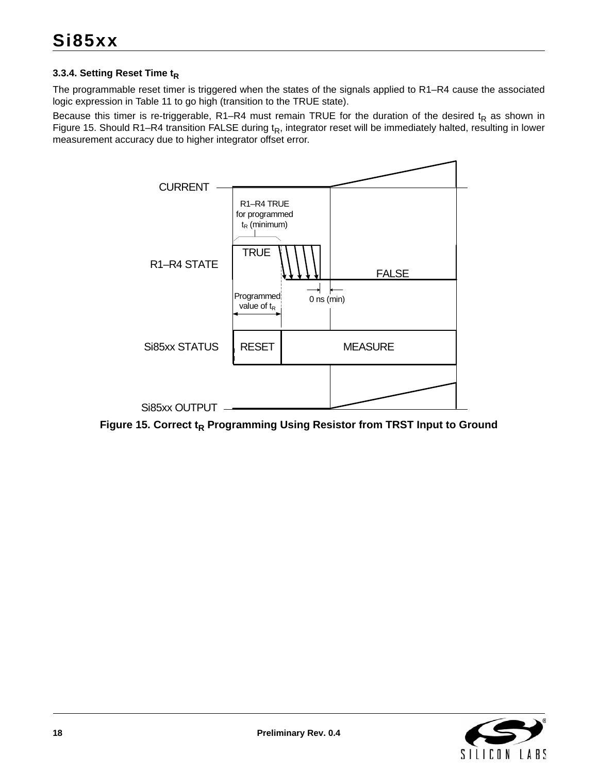#### **3.3.4. Setting Reset Time t<sub>R</sub>**

The programmable reset timer is triggered when the states of the signals applied to R1–R4 cause the associated logic expression in [Table 11](#page-15-0) to go high (transition to the TRUE state).

Because this timer is re-triggerable, R1–R4 must remain TRUE for the duration of the desired  $t<sub>R</sub>$  as shown in [Figure 15](#page-17-0). Should R1–R4 transition FALSE during  $t_R$ , integrator reset will be immediately halted, resulting in lower measurement accuracy due to higher integrator offset error.



<span id="page-17-0"></span>Figure 15. Correct t<sub>R</sub> Programming Using Resistor from TRST Input to Ground

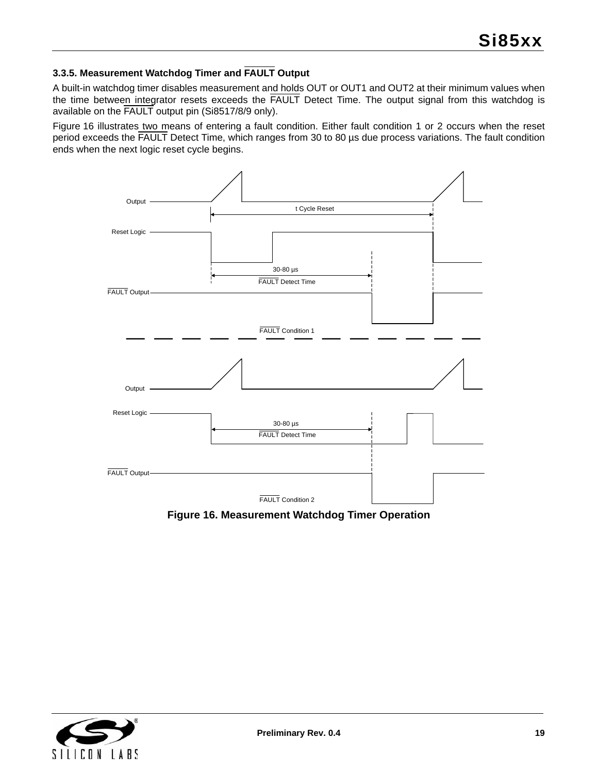#### **3.3.5. Measurement Watchdog Timer and FAULT Output**

A built-in watchdog timer disables measurement and holds OUT or OUT1 and OUT2 at their minimum values when the time between integrator resets exceeds the FAULT Detect Time. The output signal from this watchdog is available on the FAULT output pin (Si8517/8/9 only).

[Figure 16](#page-18-0) illustrates two means of entering a fault condition. Either fault condition 1 or 2 occurs when the reset period exceeds the FAULT Detect Time, which ranges from 30 to 80 µs due process variations. The fault condition ends when the next logic reset cycle begins.



<span id="page-18-0"></span>**Figure 16. Measurement Watchdog Timer Operation**

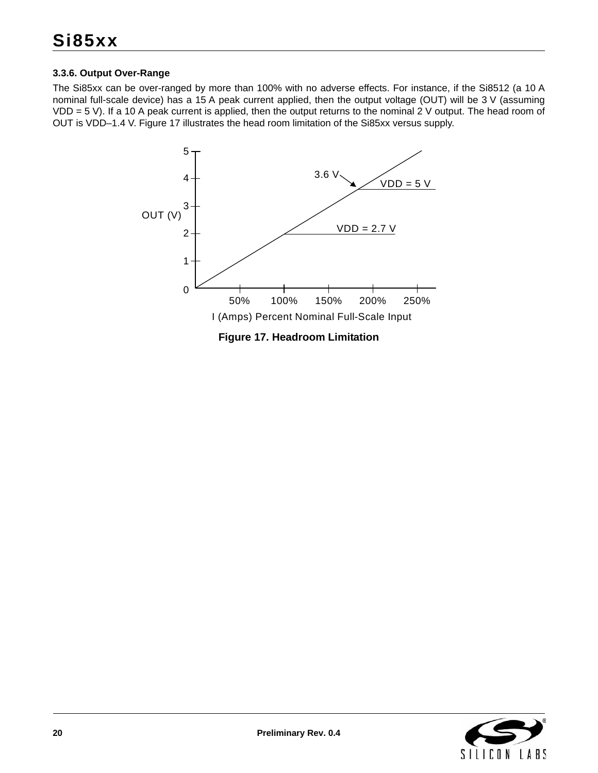#### **3.3.6. Output Over-Range**

The Si85xx can be over-ranged by more than 100% with no adverse effects. For instance, if the Si8512 (a 10 A nominal full-scale device) has a 15 A peak current applied, then the output voltage (OUT) will be 3 V (assuming VDD = 5 V). If a 10 A peak current is applied, then the output returns to the nominal 2 V output. The head room of OUT is VDD–1.4 V. [Figure 17](#page-19-0) illustrates the head room limitation of the Si85xx versus supply.

<span id="page-19-0"></span>

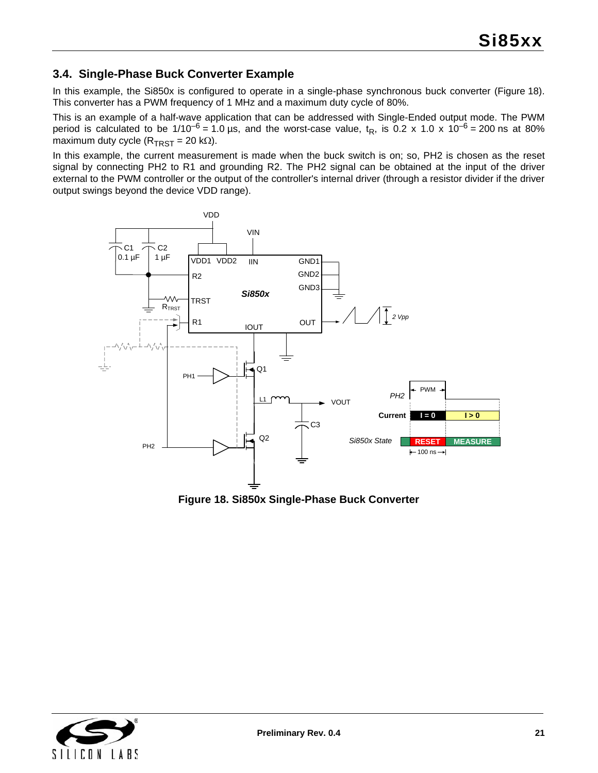### <span id="page-20-0"></span>**3.4. Single-Phase Buck Converter Example**

In this example, the Si850x is configured to operate in a single-phase synchronous buck converter ([Figure 18\)](#page-20-1). This converter has a PWM frequency of 1 MHz and a maximum duty cycle of 80%.

This is an example of a half-wave application that can be addressed with Single-Ended output mode. The PWM period is calculated to be  $1/10^{-6}$  = 1.0 µs, and the worst-case value, t<sub>R</sub>, is 0.2 x 1.0 x 10<sup>-6</sup> = 200 ns at 80% maximum duty cycle ( $R_{TRST}$  = 20 k $\Omega$ ).

In this example, the current measurement is made when the buck switch is on; so, PH2 is chosen as the reset signal by connecting PH2 to R1 and grounding R2. The PH2 signal can be obtained at the input of the driver external to the PWM controller or the output of the controller's internal driver (through a resistor divider if the driver output swings beyond the device VDD range).



<span id="page-20-1"></span>**Figure 18. Si850x Single-Phase Buck Converter**

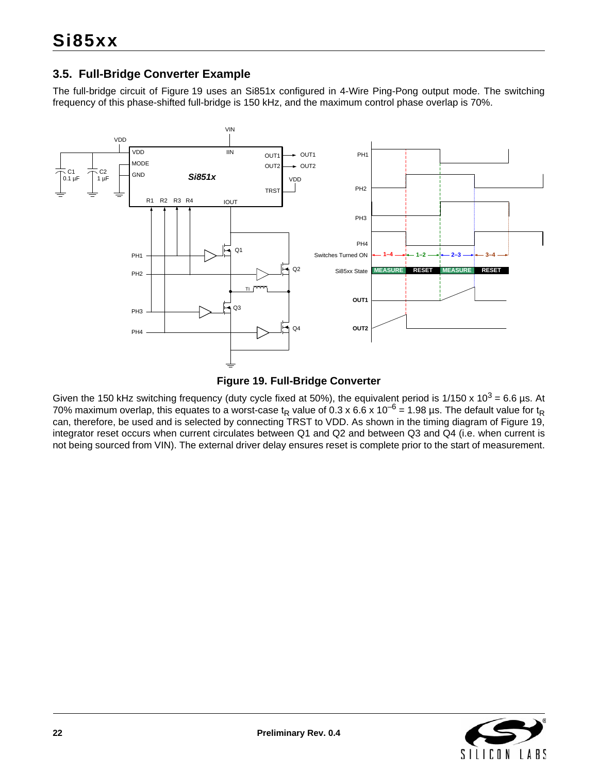# <span id="page-21-0"></span>**3.5. Full-Bridge Converter Example**

The full-bridge circuit of [Figure 19](#page-21-1) uses an Si851x configured in 4-Wire Ping-Pong output mode. The switching frequency of this phase-shifted full-bridge is 150 kHz, and the maximum control phase overlap is 70%.





<span id="page-21-1"></span>Given the 150 kHz switching frequency (duty cycle fixed at 50%), the equivalent period is 1/150 x 10<sup>3</sup> = 6.6 µs. At 70% maximum overlap, this equates to a worst-case t<sub>R</sub> value of 0.3 x 6.6 x 10<sup>-6</sup> = 1.98 µs. The default value for t<sub>R</sub> can, therefore, be used and is selected by connecting TRST to VDD. As shown in the timing diagram of [Figure 19](#page-21-1), integrator reset occurs when current circulates between Q1 and Q2 and between Q3 and Q4 (i.e. when current is not being sourced from VIN). The external driver delay ensures reset is complete prior to the start of measurement.

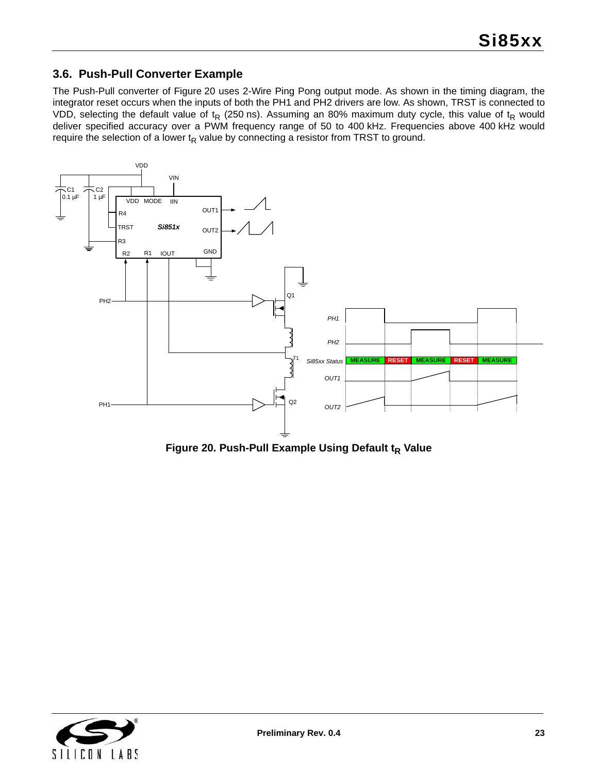# <span id="page-22-0"></span>**3.6. Push-Pull Converter Example**

The Push-Pull converter of [Figure 20](#page-22-1) uses 2-Wire Ping Pong output mode. As shown in the timing diagram, the integrator reset occurs when the inputs of both the PH1 and PH2 drivers are low. As shown, TRST is connected to VDD, selecting the default value of  $t_R$  (250 ns). Assuming an 80% maximum duty cycle, this value of  $t_R$  would deliver specified accuracy over a PWM frequency range of 50 to 400 kHz. Frequencies above 400 kHz would require the selection of a lower  $t_R$  value by connecting a resistor from TRST to ground.



<span id="page-22-1"></span>Figure 20. Push-Pull Example Using Default t<sub>R</sub> Value

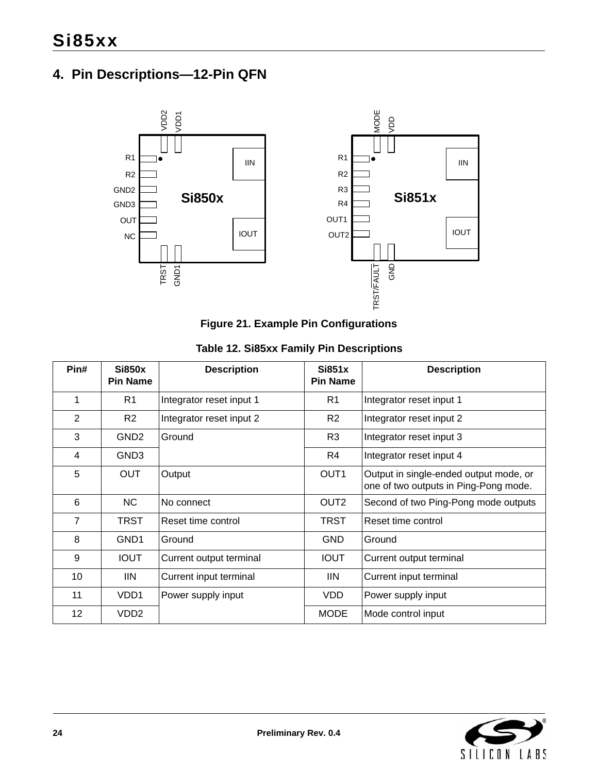# <span id="page-23-0"></span>**4. Pin Descriptions—12-Pin QFN**



**Figure 21. Example Pin Configurations**

| Pin#            | <b>Si850x</b><br><b>Pin Name</b> | <b>Description</b>       | Si851x<br><b>Pin Name</b> | <b>Description</b>                                                              |
|-----------------|----------------------------------|--------------------------|---------------------------|---------------------------------------------------------------------------------|
| 1               | R <sub>1</sub>                   | Integrator reset input 1 | R <sub>1</sub>            | Integrator reset input 1                                                        |
| $\overline{2}$  | R <sub>2</sub>                   | Integrator reset input 2 | R <sub>2</sub>            | Integrator reset input 2                                                        |
| 3               | GND <sub>2</sub>                 | Ground                   | R <sub>3</sub>            | Integrator reset input 3                                                        |
| 4               | GND3                             |                          | R4                        | Integrator reset input 4                                                        |
| 5               | <b>OUT</b>                       | Output                   | OUT <sub>1</sub>          | Output in single-ended output mode, or<br>one of two outputs in Ping-Pong mode. |
| 6               | NC.                              | No connect               | OUT <sub>2</sub>          | Second of two Ping-Pong mode outputs                                            |
| $\overline{7}$  | TRST                             | Reset time control       | TRST                      | Reset time control                                                              |
| 8               | GND1                             | Ground                   | <b>GND</b>                | Ground                                                                          |
| 9               | <b>IOUT</b>                      | Current output terminal  | <b>IOUT</b>               | Current output terminal                                                         |
| 10              | <b>IIN</b>                       | Current input terminal   | <b>IIN</b>                | Current input terminal                                                          |
| 11              | VDD <sub>1</sub>                 | Power supply input       | <b>VDD</b>                | Power supply input                                                              |
| 12 <sub>2</sub> | VDD <sub>2</sub>                 |                          | <b>MODE</b>               | Mode control input                                                              |

### **Table 12. Si85xx Family Pin Descriptions**

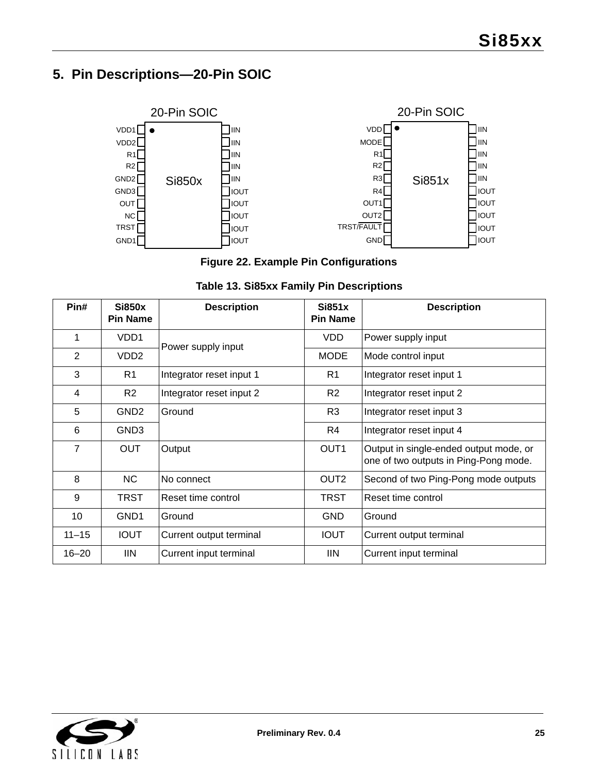# <span id="page-24-0"></span>**5. Pin Descriptions—20-Pin SOIC**



### **Figure 22. Example Pin Configurations**

| Pin#           | <b>Si850x</b><br><b>Pin Name</b> | <b>Description</b>       | Si851x<br><b>Pin Name</b> | <b>Description</b>                                                              |
|----------------|----------------------------------|--------------------------|---------------------------|---------------------------------------------------------------------------------|
| 1              | VDD <sub>1</sub>                 | Power supply input       | VDD.                      | Power supply input                                                              |
| 2              | VD <sub>D</sub> 2                |                          | <b>MODE</b>               | Mode control input                                                              |
| 3              | R <sub>1</sub>                   | Integrator reset input 1 | R1                        | Integrator reset input 1                                                        |
| 4              | R <sub>2</sub>                   | Integrator reset input 2 | R <sub>2</sub>            | Integrator reset input 2                                                        |
| 5              | GND <sub>2</sub>                 | Ground                   | R <sub>3</sub>            | Integrator reset input 3                                                        |
| 6              | GND <sub>3</sub>                 |                          | R4                        | Integrator reset input 4                                                        |
| $\overline{7}$ | <b>OUT</b>                       | Output                   | OUT <sub>1</sub>          | Output in single-ended output mode, or<br>one of two outputs in Ping-Pong mode. |
| 8              | <b>NC</b>                        | No connect               | OUT <sub>2</sub>          | Second of two Ping-Pong mode outputs                                            |
| 9              | TRST                             | Reset time control       | <b>TRST</b>               | Reset time control                                                              |
| 10             | GND <sub>1</sub>                 | Ground                   | <b>GND</b>                | Ground                                                                          |
| $11 - 15$      | <b>IOUT</b>                      | Current output terminal  | <b>IOUT</b>               | Current output terminal                                                         |
| $16 - 20$      | IIN                              | Current input terminal   | <b>IIN</b>                | Current input terminal                                                          |

### **Table 13. Si85xx Family Pin Descriptions**

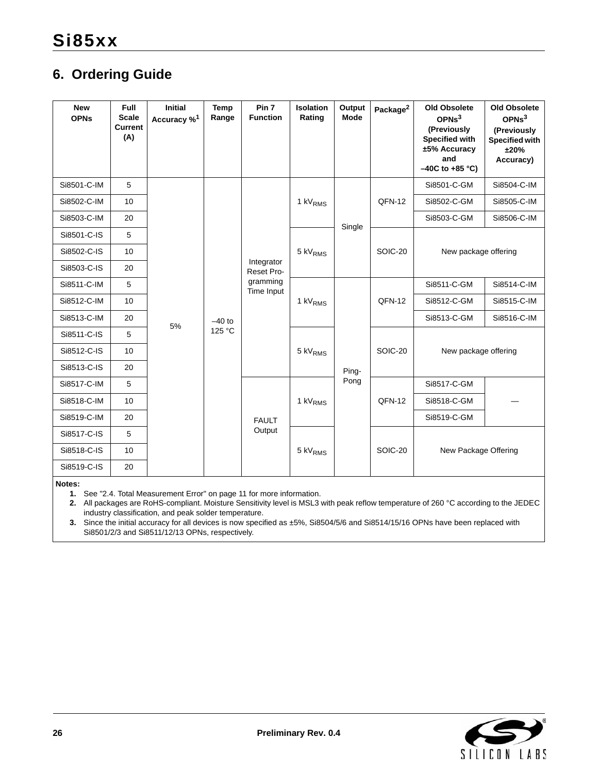# <span id="page-25-0"></span>**6. Ordering Guide**

| <b>New</b><br><b>OPNs</b> | <b>Full</b><br><b>Scale</b><br><b>Current</b><br>(A) | <b>Initial</b><br>Accuracy % <sup>1</sup> | Temp<br>Range      | Pin 7<br><b>Function</b> | <b>Isolation</b><br>Rating | Output<br>Mode      | Package <sup>2</sup>     | <b>Old Obsolete</b><br>$OPNs^3$<br>(Previously<br>Specified with<br>±5% Accuracy<br>and<br>$-40C$ to $+85 °C$ ) | <b>Old Obsolete</b><br>OPNs <sup>3</sup><br>(Previously<br>Specified with<br>±20%<br>Accuracy) |                |                      |                     |  |             |             |             |
|---------------------------|------------------------------------------------------|-------------------------------------------|--------------------|--------------------------|----------------------------|---------------------|--------------------------|-----------------------------------------------------------------------------------------------------------------|------------------------------------------------------------------------------------------------|----------------|----------------------|---------------------|--|-------------|-------------|-------------|
| Si8501-C-IM               | 5                                                    |                                           |                    |                          |                            |                     |                          | Si8501-C-GM                                                                                                     | Si8504-C-IM                                                                                    |                |                      |                     |  |             |             |             |
| Si8502-C-IM               | 10                                                   |                                           |                    |                          | 1 kV <sub>RMS</sub>        |                     | QFN-12                   | Si8502-C-GM                                                                                                     | Si8505-C-IM                                                                                    |                |                      |                     |  |             |             |             |
| Si8503-C-IM               | 20                                                   |                                           |                    |                          |                            | Single              |                          | Si8503-C-GM                                                                                                     | Si8506-C-IM                                                                                    |                |                      |                     |  |             |             |             |
| Si8501-C-IS               | 5                                                    |                                           |                    |                          |                            |                     |                          |                                                                                                                 |                                                                                                |                |                      |                     |  |             |             |             |
| Si8502-C-IS               | 10                                                   |                                           |                    |                          |                            |                     | Integrator<br>Reset Pro- | 5 kV <sub>RMS</sub>                                                                                             |                                                                                                | <b>SOIC-20</b> | New package offering |                     |  |             |             |             |
| Si8503-C-IS               | 20                                                   |                                           |                    |                          |                            |                     |                          |                                                                                                                 |                                                                                                |                |                      |                     |  |             |             |             |
| Si8511-C-IM               | 5                                                    |                                           |                    | gramming<br>Time Input   |                            |                     |                          | Si8511-C-GM                                                                                                     | Si8514-C-IM                                                                                    |                |                      |                     |  |             |             |             |
| Si8512-C-IM               | 10                                                   |                                           | $-40$ to<br>125 °C |                          |                            |                     |                          |                                                                                                                 |                                                                                                |                |                      | 1 kV <sub>RMS</sub> |  | QFN-12      | Si8512-C-GM | Si8515-C-IM |
| Si8513-C-IM               | 20                                                   | 5%                                        |                    |                          |                            |                     |                          |                                                                                                                 |                                                                                                |                |                      |                     |  | Si8513-C-GM | Si8516-C-IM |             |
| Si8511-C-IS               | 5                                                    |                                           |                    |                          |                            |                     |                          |                                                                                                                 |                                                                                                |                |                      |                     |  |             |             |             |
| Si8512-C-IS               | 10                                                   |                                           |                    |                          | 5 kV <sub>RMS</sub>        |                     | SOIC-20                  | New package offering                                                                                            |                                                                                                |                |                      |                     |  |             |             |             |
| Si8513-C-IS               | 20                                                   |                                           |                    |                          |                            | Ping-               |                          |                                                                                                                 |                                                                                                |                |                      |                     |  |             |             |             |
| Si8517-C-IM               | 5                                                    |                                           |                    |                          |                            | Pong                |                          | Si8517-C-GM                                                                                                     |                                                                                                |                |                      |                     |  |             |             |             |
| Si8518-C-IM               | 10                                                   |                                           |                    |                          |                            | 1 kV <sub>RMS</sub> |                          | QFN-12                                                                                                          | Si8518-C-GM                                                                                    |                |                      |                     |  |             |             |             |
| Si8519-C-IM               | 20                                                   |                                           |                    | <b>FAULT</b>             |                            |                     |                          | Si8519-C-GM                                                                                                     |                                                                                                |                |                      |                     |  |             |             |             |
| Si8517-C-IS               | 5                                                    |                                           |                    | Output                   |                            |                     |                          |                                                                                                                 |                                                                                                |                |                      |                     |  |             |             |             |
| Si8518-C-IS               | 10                                                   |                                           |                    |                          | 5 kV <sub>RMS</sub>        |                     | <b>SOIC-20</b>           | New Package Offering                                                                                            |                                                                                                |                |                      |                     |  |             |             |             |
| Si8519-C-IS               | 20                                                   |                                           |                    |                          |                            |                     |                          |                                                                                                                 |                                                                                                |                |                      |                     |  |             |             |             |

<span id="page-25-1"></span>**Notes:**

**1.** See ["2.4. Total Measurement Error" on page 11](#page-10-0) for more information.

<span id="page-25-2"></span>**2.** All packages are RoHS-compliant. Moisture Sensitivity level is MSL3 with peak reflow temperature of 260 °C according to the JEDEC industry classification, and peak solder temperature.

<span id="page-25-3"></span>**3.** Since the initial accuracy for all devices is now specified as ±5%, Si8504/5/6 and Si8514/15/16 OPNs have been replaced with Si8501/2/3 and Si8511/12/13 OPNs, respectively.

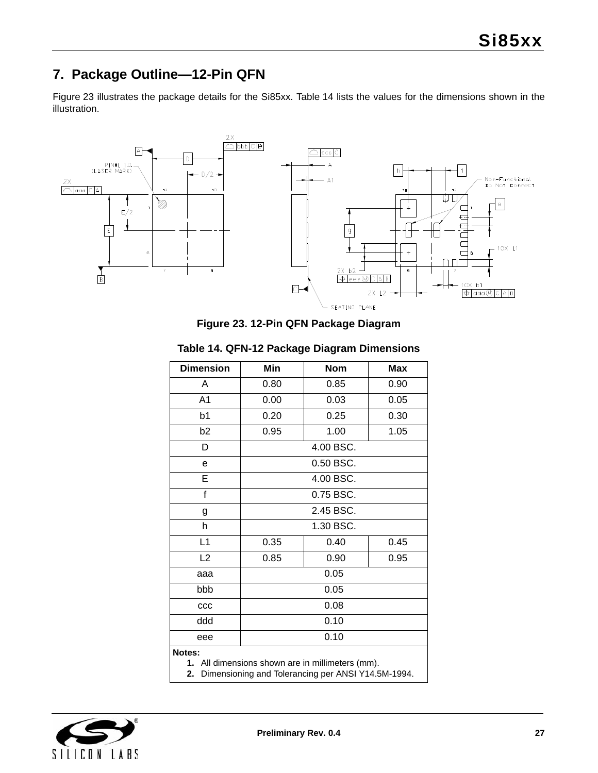# <span id="page-26-0"></span>**7. Package Outline—12-Pin QFN**

[Figure 23](#page-26-1) illustrates the package details for the Si85xx. [Table 14](#page-26-2) lists the values for the dimensions shown in the illustration.



**Figure 23. 12-Pin QFN Package Diagram**

<span id="page-26-2"></span><span id="page-26-1"></span>

| <b>Dimension</b> | Min                  | <b>Nom</b> | <b>Max</b> |  |  |
|------------------|----------------------|------------|------------|--|--|
| Α                | 0.85<br>0.90<br>0.80 |            |            |  |  |
| A <sub>1</sub>   | 0.00                 | 0.03       | 0.05       |  |  |
| b <sub>1</sub>   | 0.20                 | 0.25       | 0.30       |  |  |
| b <sub>2</sub>   | 0.95                 | 1.00       | 1.05       |  |  |
| D                |                      | 4.00 BSC.  |            |  |  |
| e                |                      | 0.50 BSC.  |            |  |  |
| Е                | 4.00 BSC.            |            |            |  |  |
| f                | 0.75 BSC.            |            |            |  |  |
| g                | 2.45 BSC.            |            |            |  |  |
| h                | 1.30 BSC.            |            |            |  |  |
| L1               | 0.35                 | 0.40       | 0.45       |  |  |
| L2               | 0.85                 | 0.90       | 0.95       |  |  |
| aaa              |                      | 0.05       |            |  |  |
| bbb              | 0.05                 |            |            |  |  |
| ccc              | 0.08                 |            |            |  |  |
| ddd              | 0.10                 |            |            |  |  |
| eee              | 0.10                 |            |            |  |  |

#### **Table 14. QFN-12 Package Diagram Dimensions**

**2.** Dimensioning and Tolerancing per ANSI Y14.5M-1994.

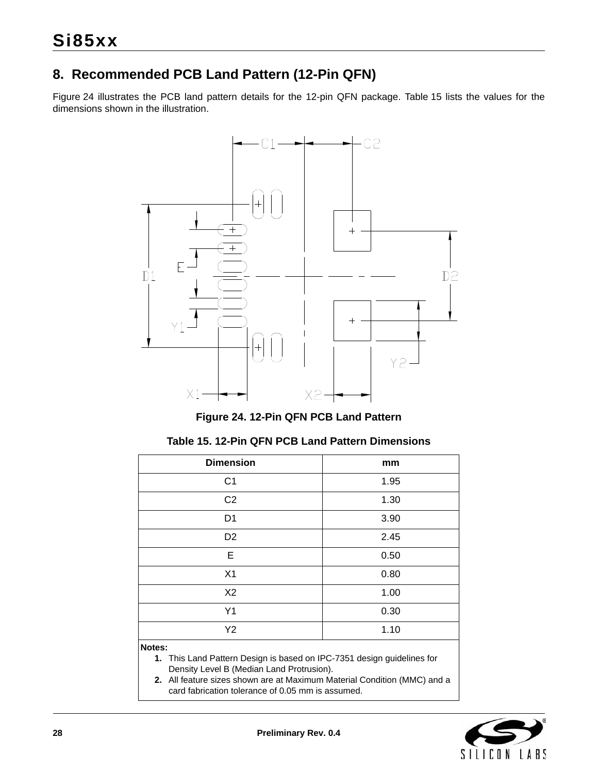# <span id="page-27-0"></span>**8. Recommended PCB Land Pattern (12-Pin QFN)**

[Figure 24](#page-27-1) illustrates the PCB land pattern details for the 12-pin QFN package. [Table 15](#page-27-2) lists the values for the dimensions shown in the illustration.



**Figure 24. 12-Pin QFN PCB Land Pattern**

<span id="page-27-2"></span><span id="page-27-1"></span>

| <b>Dimension</b> | mm   |
|------------------|------|
| C <sub>1</sub>   | 1.95 |
| C <sub>2</sub>   | 1.30 |
| D <sub>1</sub>   | 3.90 |
| D <sub>2</sub>   | 2.45 |
| E                | 0.50 |
| X1               | 0.80 |
| X <sub>2</sub>   | 1.00 |
| Y1               | 0.30 |
| Y2               | 1.10 |

|  | Table 15. 12-Pin QFN PCB Land Pattern Dimensions |
|--|--------------------------------------------------|
|--|--------------------------------------------------|

**Notes:**

- **1.** This Land Pattern Design is based on IPC-7351 design guidelines for Density Level B (Median Land Protrusion).
- **2.** All feature sizes shown are at Maximum Material Condition (MMC) and a card fabrication tolerance of 0.05 mm is assumed.

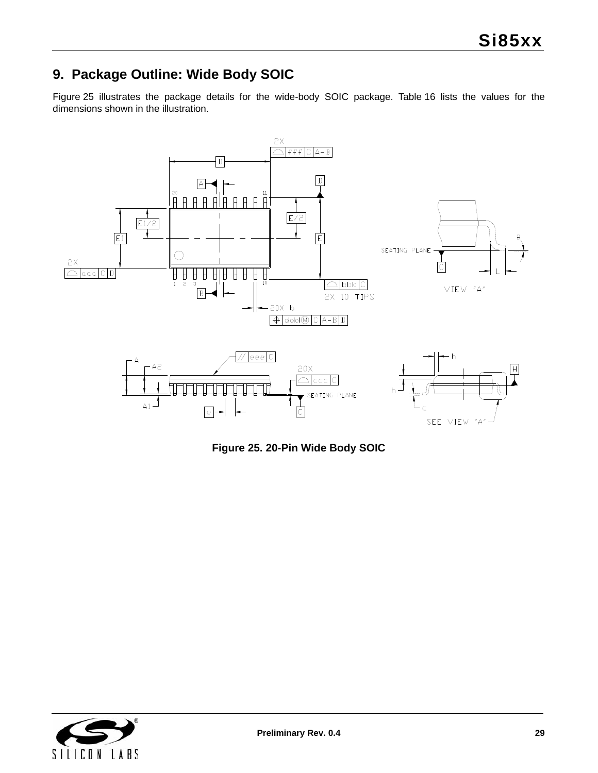# <span id="page-28-0"></span>**9. Package Outline: Wide Body SOIC**

[Figure 25](#page-28-1) illustrates the package details for the wide-body SOIC package. [Table 16](#page-29-0) lists the values for the dimensions shown in the illustration.



<span id="page-28-1"></span>**Figure 25. 20-Pin Wide Body SOIC**

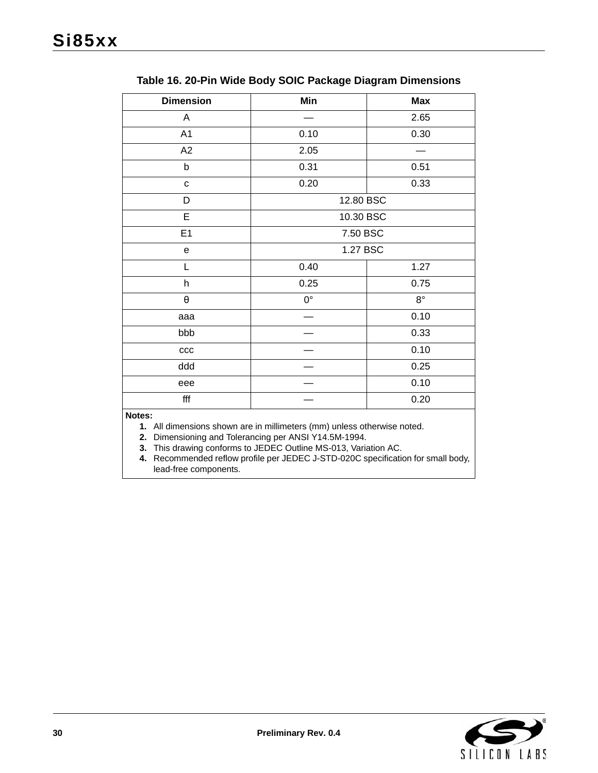<span id="page-29-0"></span>

| <b>Dimension</b> | Min         | <b>Max</b>  |
|------------------|-------------|-------------|
| A                |             | 2.65        |
| A <sub>1</sub>   | 0.10        | 0.30        |
| A2               | 2.05        |             |
| b                | 0.31        | 0.51        |
| $\mathbf{C}$     | 0.20        | 0.33        |
| D                | 12.80 BSC   |             |
| E                | 10.30 BSC   |             |
| E <sub>1</sub>   | 7.50 BSC    |             |
| e                | 1.27 BSC    |             |
| L                | 0.40        | 1.27        |
| h                | 0.25        | 0.75        |
| θ                | $0^{\circ}$ | $8^{\circ}$ |
| aaa              |             | 0.10        |
| bbb              |             | 0.33        |
| ccc              |             | 0.10        |
| ddd              |             | 0.25        |
| eee              |             | 0.10        |
| fff              |             | 0.20        |

**Table 16. 20-Pin Wide Body SOIC Package Diagram Dimensions**

**3.** This drawing conforms to JEDEC Outline MS-013, Variation AC.

**4.** Recommended reflow profile per JEDEC J-STD-020C specification for small body, lead-free components.

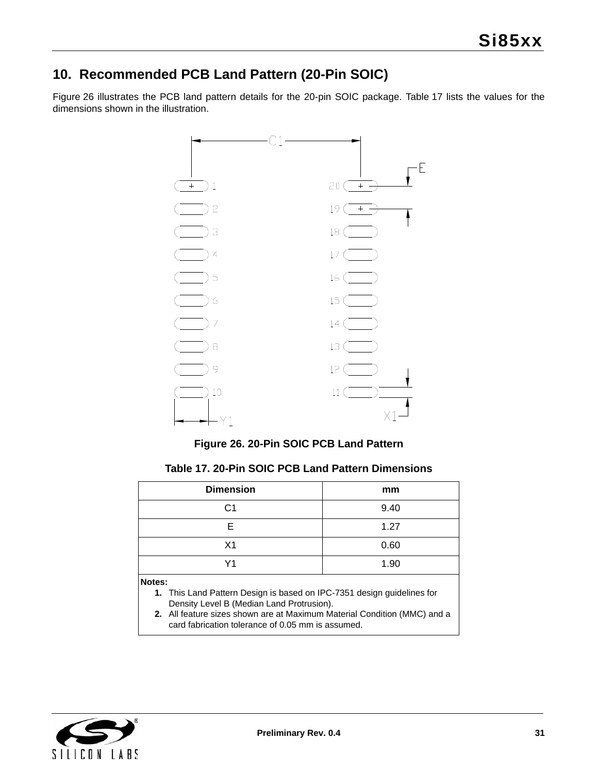# <span id="page-30-0"></span>**10. Recommended PCB Land Pattern (20-Pin SOIC)**

[Figure 26](#page-30-1) illustrates the PCB land pattern details for the 20-pin SOIC package. [Table 17](#page-30-2) lists the values for the dimensions shown in the illustration.



### **Figure 26. 20-Pin SOIC PCB Land Pattern**

### **Table 17. 20-Pin SOIC PCB Land Pattern Dimensions**

<span id="page-30-2"></span><span id="page-30-1"></span>

| <b>Dimension</b>                                                                                                              | mm   |  |  |  |
|-------------------------------------------------------------------------------------------------------------------------------|------|--|--|--|
|                                                                                                                               | 9.40 |  |  |  |
| E.                                                                                                                            | 1.27 |  |  |  |
| X <sub>1</sub>                                                                                                                | 0.60 |  |  |  |
| Υ1                                                                                                                            | 1.90 |  |  |  |
| Notes:                                                                                                                        |      |  |  |  |
| 1. This Land Pattern Design is based on IPC-7351 design guidelines for<br>Density Level B (Median Land Protrusion).           |      |  |  |  |
| 2. All feature sizes shown are at Maximum Material Condition (MMC) and a<br>card fabrication tolerance of 0.05 mm is assumed. |      |  |  |  |

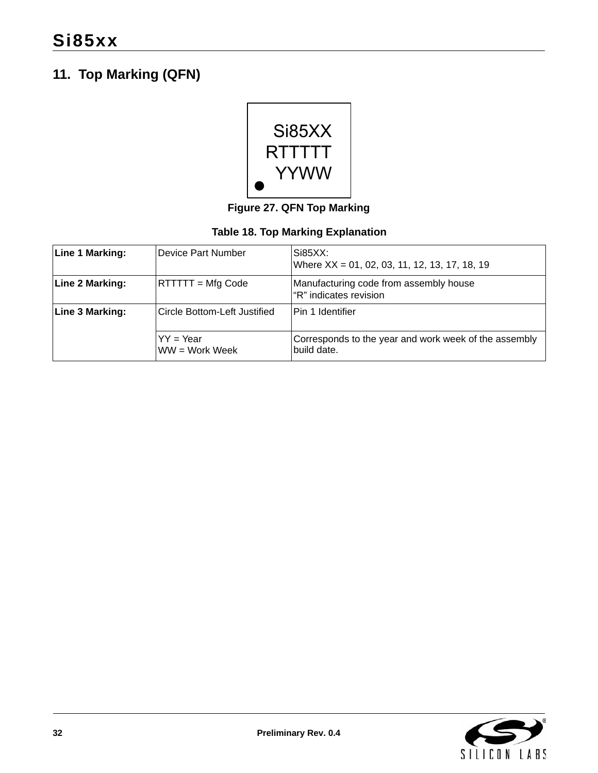# <span id="page-31-0"></span>**11. Top Marking (QFN)**



**Figure 27. QFN Top Marking**

### **Table 18. Top Marking Explanation**

| Line 1 Marking: | Device Part Number                   | Si85XX:<br>Where XX = 01, 02, 03, 11, 12, 13, 17, 18, 19             |
|-----------------|--------------------------------------|----------------------------------------------------------------------|
| Line 2 Marking: | $RTTTTT = Mfg Code$                  | Manufacturing code from assembly house<br>"R" indicates revision     |
| Line 3 Marking: | Circle Bottom-Left Justified         | Pin 1 Identifier                                                     |
|                 | $YY = Year$<br><b>WW</b> = Work Week | Corresponds to the year and work week of the assembly<br>build date. |

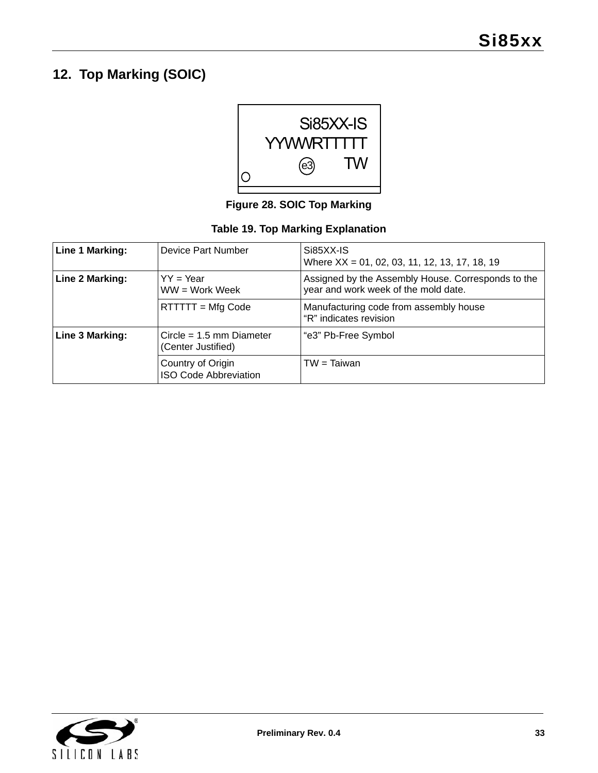# <span id="page-32-0"></span>**12. Top Marking (SOIC)**



**Figure 28. SOIC Top Marking**

|  | <b>Table 19. Top Marking Explanation</b> |  |
|--|------------------------------------------|--|
|  |                                          |  |

| <b>Line 1 Marking:</b> | Device Part Number                                | Si85XX-IS<br>Where XX = 01, 02, 03, 11, 12, 13, 17, 18, 19                                 |
|------------------------|---------------------------------------------------|--------------------------------------------------------------------------------------------|
| <b>Line 2 Marking:</b> | $YY = Year$<br>$WW = Work Week$                   | Assigned by the Assembly House. Corresponds to the<br>year and work week of the mold date. |
|                        | $RTTTTT = Mfg Code$                               | Manufacturing code from assembly house<br>"R" indicates revision                           |
| Line 3 Marking:        | Circle = $1.5$ mm Diameter<br>(Center Justified)  | "e3" Pb-Free Symbol                                                                        |
|                        | Country of Origin<br><b>ISO Code Abbreviation</b> | $TW = T$ aiwan                                                                             |

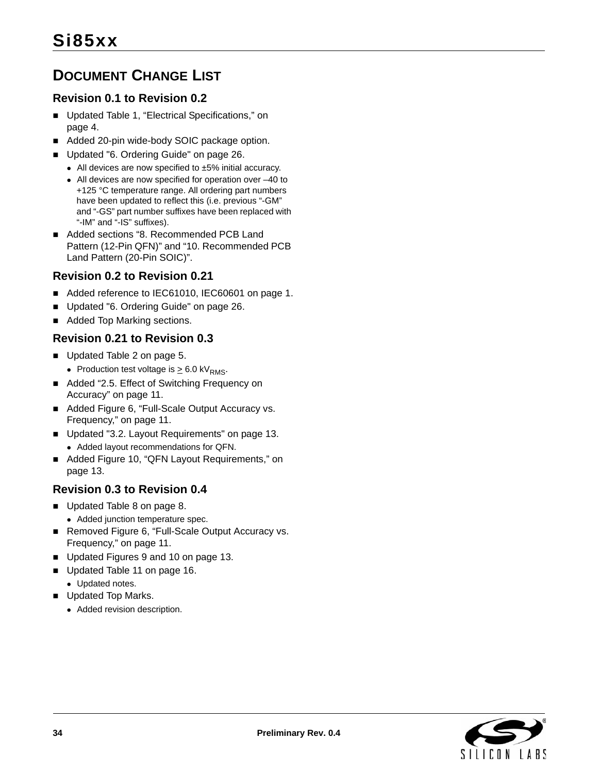# <span id="page-33-0"></span>**DOCUMENT CHANGE LIST**

# **Revision 0.1 to Revision 0.2**

- **Updated Table 1, "Electrical Specifications," on** [page 4.](#page-3-5)
- Added 20-pin wide-body SOIC package option.
- Updated ["6. Ordering Guide" on page 26](#page-25-0).
	- All devices are now specified to ±5% initial accuracy.
	- All devices are now specified for operation over –40 to +125 °C temperature range. All ordering part numbers have been updated to reflect this (i.e. previous "-GM" and "-GS" part number suffixes have been replaced with "-IM" and "-IS" suffixes).
- Added sections "8. Recommended PCB Land [Pattern \(12-Pin QFN\)"](#page-27-0) and ["10. Recommended PCB](#page-30-0)  [Land Pattern \(20-Pin SOIC\)"](#page-30-0).

# **Revision 0.2 to Revision 0.21**

- Added reference to IEC61010, IEC60601 on page 1.
- Updated ["6. Ordering Guide" on page 26](#page-25-0).
- Added Top Marking sections.

### **Revision 0.21 to Revision 0.3**

- Updated [Table 2 on page 5](#page-4-2).
	- Production test voltage is  $\geq 6.0 \text{ kV}_{RMS}$ .
- Added "2.5. Effect of Switching Frequency on Accuracy" on page 11.
- Added Figure 6, "Full-Scale Output Accuracy vs. Frequency," on page 11.
- Updated ["3.2. Layout Requirements" on page 13.](#page-12-2) Added layout recommendations for QFN.
- Added Figure 10, "QFN Layout Requirements," on [page 13](#page-12-3).

### **Revision 0.3 to Revision 0.4**

- Updated [Table 8 on page 8](#page-7-3).
	- Added junction temperature spec.
- Removed Figure 6, "Full-Scale Output Accuracy vs. Frequency," on page 11.
- Updated Figures [9](#page-12-4) and [10](#page-12-3) on page [13.](#page-12-3)
- Updated [Table 11 on page 16.](#page-15-0)
	- Updated notes.
- Updated Top Marks.
	- Added revision description.

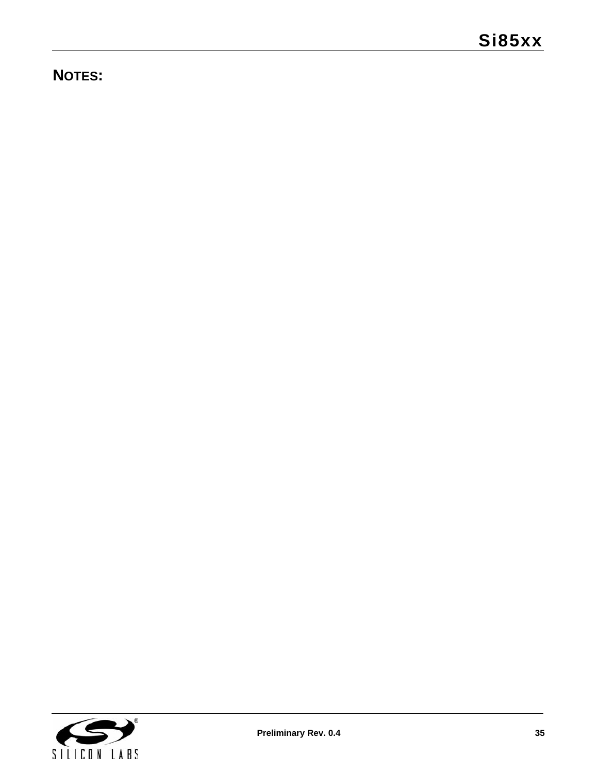# **NOTES:**